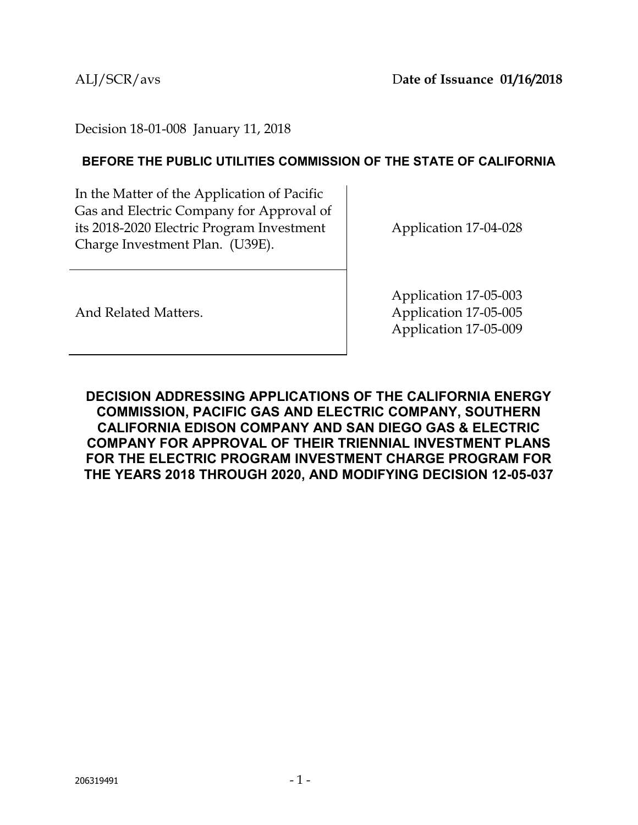Decision 18-01-008 January 11, 2018

### **BEFORE THE PUBLIC UTILITIES COMMISSION OF THE STATE OF CALIFORNIA**

In the Matter of the Application of Pacific Gas and Electric Company for Approval of its 2018-2020 Electric Program Investment Charge Investment Plan. (U39E).

Application 17-04-028

And Related Matters.

Application 17-05-003 Application 17-05-005 Application 17-05-009

**DECISION ADDRESSING APPLICATIONS OF THE CALIFORNIA ENERGY COMMISSION, PACIFIC GAS AND ELECTRIC COMPANY, SOUTHERN CALIFORNIA EDISON COMPANY AND SAN DIEGO GAS & ELECTRIC COMPANY FOR APPROVAL OF THEIR TRIENNIAL INVESTMENT PLANS FOR THE ELECTRIC PROGRAM INVESTMENT CHARGE PROGRAM FOR THE YEARS 2018 THROUGH 2020, AND MODIFYING DECISION 12-05-037**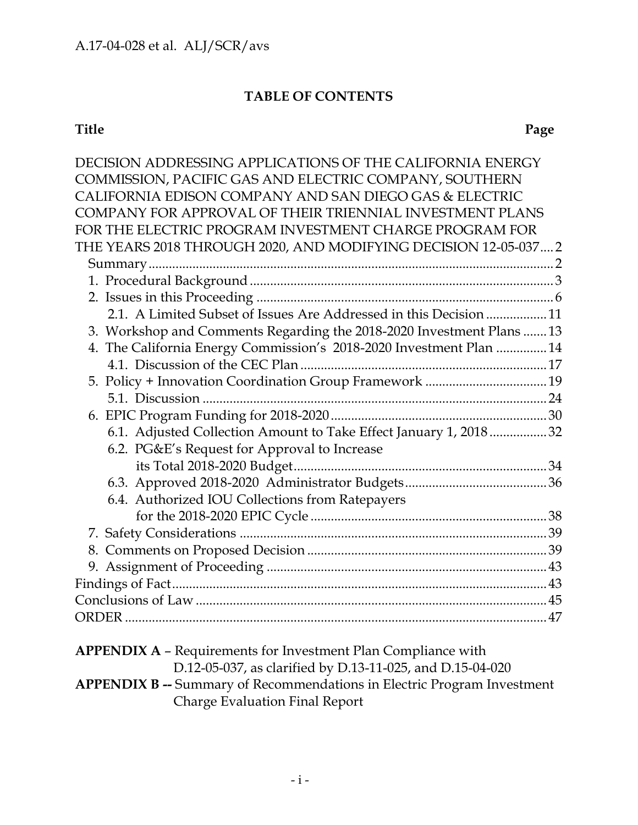### **TABLE OF CONTENTS**

| DECISION ADDRESSING APPLICATIONS OF THE CALIFORNIA ENERGY                     |  |
|-------------------------------------------------------------------------------|--|
| COMMISSION, PACIFIC GAS AND ELECTRIC COMPANY, SOUTHERN                        |  |
| CALIFORNIA EDISON COMPANY AND SAN DIEGO GAS & ELECTRIC                        |  |
| COMPANY FOR APPROVAL OF THEIR TRIENNIAL INVESTMENT PLANS                      |  |
| FOR THE ELECTRIC PROGRAM INVESTMENT CHARGE PROGRAM FOR                        |  |
| THE YEARS 2018 THROUGH 2020, AND MODIFYING DECISION 12-05-037 2               |  |
|                                                                               |  |
|                                                                               |  |
|                                                                               |  |
| 2.1. A Limited Subset of Issues Are Addressed in this Decision 11             |  |
| 3. Workshop and Comments Regarding the 2018-2020 Investment Plans  13         |  |
| 4. The California Energy Commission's 2018-2020 Investment Plan  14           |  |
|                                                                               |  |
|                                                                               |  |
|                                                                               |  |
|                                                                               |  |
| 6.1. Adjusted Collection Amount to Take Effect January 1, 201832              |  |
| 6.2. PG&E's Request for Approval to Increase                                  |  |
|                                                                               |  |
|                                                                               |  |
| 6.4. Authorized IOU Collections from Ratepayers                               |  |
|                                                                               |  |
|                                                                               |  |
|                                                                               |  |
|                                                                               |  |
|                                                                               |  |
|                                                                               |  |
|                                                                               |  |
|                                                                               |  |
| <b>APPENDIX A - Requirements for Investment Plan Compliance with</b>          |  |
| D.12-05-037, as clarified by D.13-11-025, and D.15-04-020                     |  |
| <b>ADDENINIV D</b> Commony of Decommondations in Flasting Draggian Investment |  |

**APPENDIX B --** Summary of Recommendations in Electric Program Investment Charge Evaluation Final Report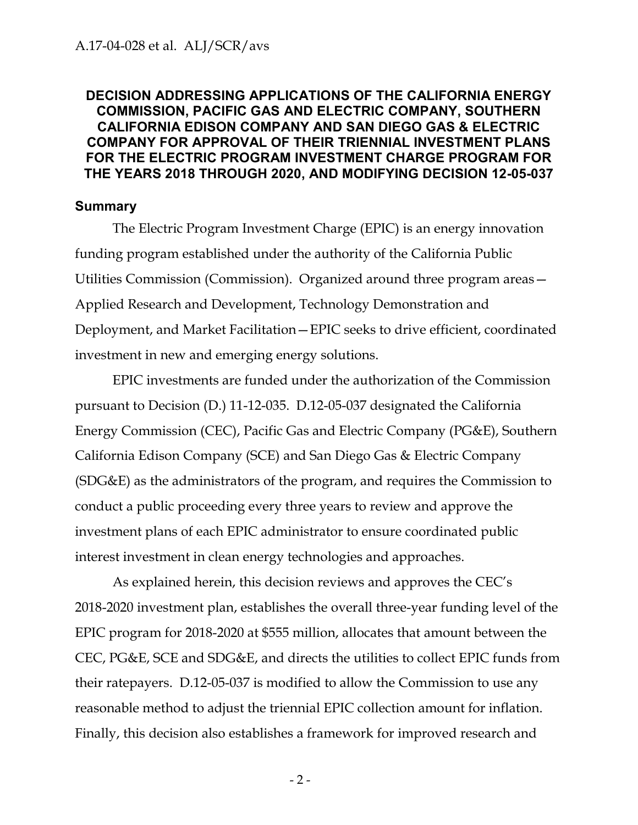### <span id="page-2-0"></span>**DECISION ADDRESSING APPLICATIONS OF THE CALIFORNIA ENERGY COMMISSION, PACIFIC GAS AND ELECTRIC COMPANY, SOUTHERN CALIFORNIA EDISON COMPANY AND SAN DIEGO GAS & ELECTRIC COMPANY FOR APPROVAL OF THEIR TRIENNIAL INVESTMENT PLANS FOR THE ELECTRIC PROGRAM INVESTMENT CHARGE PROGRAM FOR THE YEARS 2018 THROUGH 2020, AND MODIFYING DECISION 12-05-037**

### <span id="page-2-1"></span>**Summary**

The Electric Program Investment Charge (EPIC) is an energy innovation funding program established under the authority of the California Public Utilities Commission (Commission). Organized around three program areas— Applied Research and Development, Technology Demonstration and Deployment, and Market Facilitation—EPIC seeks to drive efficient, coordinated investment in new and emerging energy solutions.

EPIC investments are funded under the authorization of the Commission pursuant to Decision (D.) 11-12-035. D.12-05-037 designated the California Energy Commission (CEC), Pacific Gas and Electric Company (PG&E), Southern California Edison Company (SCE) and San Diego Gas & Electric Company (SDG&E) as the administrators of the program, and requires the Commission to conduct a public proceeding every three years to review and approve the investment plans of each EPIC administrator to ensure coordinated public interest investment in clean energy technologies and approaches.

As explained herein, this decision reviews and approves the CEC's 2018-2020 investment plan, establishes the overall three-year funding level of the EPIC program for 2018-2020 at \$555 million, allocates that amount between the CEC, PG&E, SCE and SDG&E, and directs the utilities to collect EPIC funds from their ratepayers. D.12-05-037 is modified to allow the Commission to use any reasonable method to adjust the triennial EPIC collection amount for inflation. Finally, this decision also establishes a framework for improved research and

- 2 -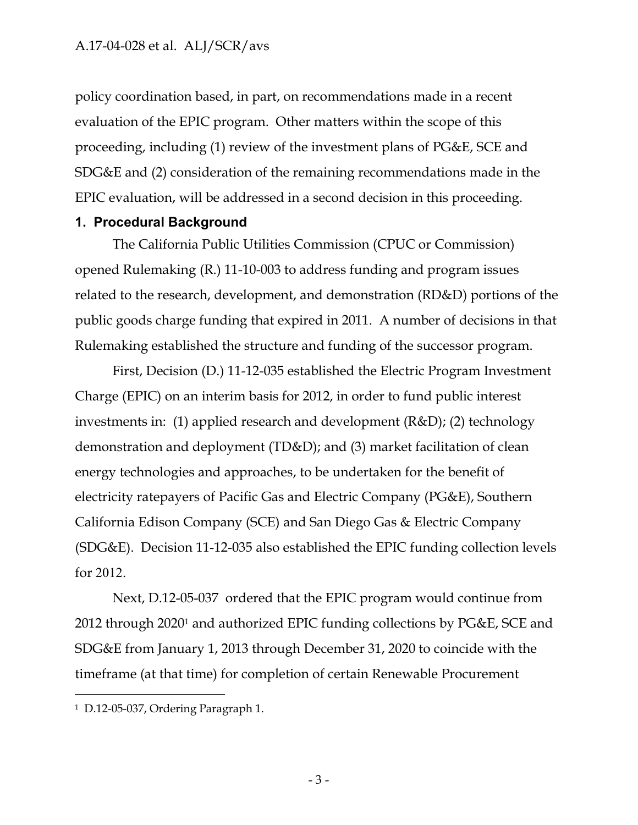policy coordination based, in part, on recommendations made in a recent evaluation of the EPIC program. Other matters within the scope of this proceeding, including (1) review of the investment plans of PG&E, SCE and SDG&E and (2) consideration of the remaining recommendations made in the EPIC evaluation, will be addressed in a second decision in this proceeding.

#### <span id="page-3-0"></span>**1. Procedural Background**

The California Public Utilities Commission (CPUC or Commission) opened Rulemaking (R.) 11-10-003 to address funding and program issues related to the research, development, and demonstration (RD&D) portions of the public goods charge funding that expired in 2011. A number of decisions in that Rulemaking established the structure and funding of the successor program.

First, Decision (D.) 11-12-035 established the Electric Program Investment Charge (EPIC) on an interim basis for 2012, in order to fund public interest investments in: (1) applied research and development (R&D); (2) technology demonstration and deployment (TD&D); and (3) market facilitation of clean energy technologies and approaches, to be undertaken for the benefit of electricity ratepayers of Pacific Gas and Electric Company (PG&E), Southern California Edison Company (SCE) and San Diego Gas & Electric Company (SDG&E). Decision 11-12-035 also established the EPIC funding collection levels for 2012.

Next, D.12-05-037 ordered that the EPIC program would continue from 2012 through 2020<sup>1</sup> and authorized EPIC funding collections by PG&E, SCE and SDG&E from January 1, 2013 through December 31, 2020 to coincide with the timeframe (at that time) for completion of certain Renewable Procurement

<sup>1</sup> D.12-05-037, Ordering Paragraph 1.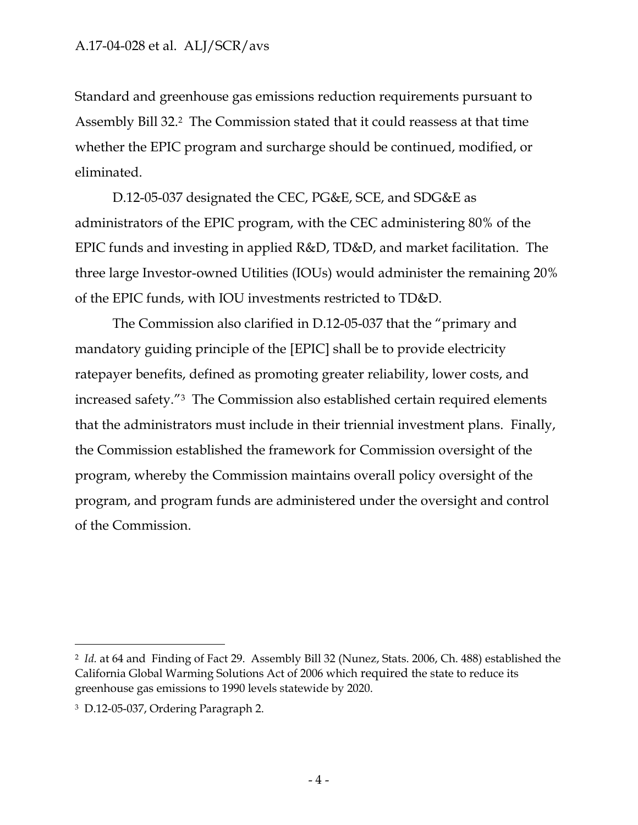Standard and greenhouse gas emissions reduction requirements pursuant to Assembly Bill 32. <sup>2</sup> The Commission stated that it could reassess at that time whether the EPIC program and surcharge should be continued, modified, or eliminated.

D.12-05-037 designated the CEC, PG&E, SCE, and SDG&E as administrators of the EPIC program, with the CEC administering 80% of the EPIC funds and investing in applied R&D, TD&D, and market facilitation. The three large Investor-owned Utilities (IOUs) would administer the remaining 20% of the EPIC funds, with IOU investments restricted to TD&D.

The Commission also clarified in D.12-05-037 that the "primary and mandatory guiding principle of the [EPIC] shall be to provide electricity ratepayer benefits, defined as promoting greater reliability, lower costs, and increased safety."3 The Commission also established certain required elements that the administrators must include in their triennial investment plans. Finally, the Commission established the framework for Commission oversight of the program, whereby the Commission maintains overall policy oversight of the program, and program funds are administered under the oversight and control of the Commission.

<sup>2</sup> *Id.* at 64 and Finding of Fact 29. Assembly Bill 32 (Nunez, Stats. 2006, Ch. 488) established the California Global Warming Solutions Act of 2006 which required the state to reduce its greenhouse gas emissions to 1990 levels statewide by 2020.

<sup>3</sup> D.12-05-037, Ordering Paragraph 2.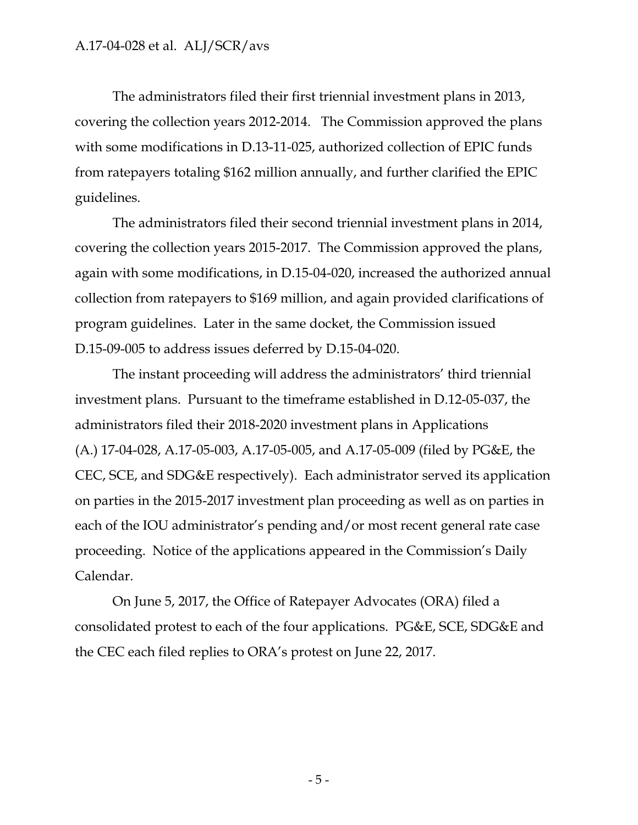The administrators filed their first triennial investment plans in 2013, covering the collection years 2012-2014. The Commission approved the plans with some modifications in D.13-11-025, authorized collection of EPIC funds from ratepayers totaling \$162 million annually, and further clarified the EPIC guidelines.

The administrators filed their second triennial investment plans in 2014, covering the collection years 2015-2017. The Commission approved the plans, again with some modifications, in D.15-04-020, increased the authorized annual collection from ratepayers to \$169 million, and again provided clarifications of program guidelines. Later in the same docket, the Commission issued D.15-09-005 to address issues deferred by D.15-04-020.

The instant proceeding will address the administrators' third triennial investment plans. Pursuant to the timeframe established in D.12-05-037, the administrators filed their 2018-2020 investment plans in Applications (A.) 17-04-028, A.17-05-003, A.17-05-005, and A.17-05-009 (filed by PG&E, the CEC, SCE, and SDG&E respectively). Each administrator served its application on parties in the 2015-2017 investment plan proceeding as well as on parties in each of the IOU administrator's pending and/or most recent general rate case proceeding. Notice of the applications appeared in the Commission's Daily Calendar.

On June 5, 2017, the Office of Ratepayer Advocates (ORA) filed a consolidated protest to each of the four applications. PG&E, SCE, SDG&E and the CEC each filed replies to ORA's protest on June 22, 2017.

- 5 -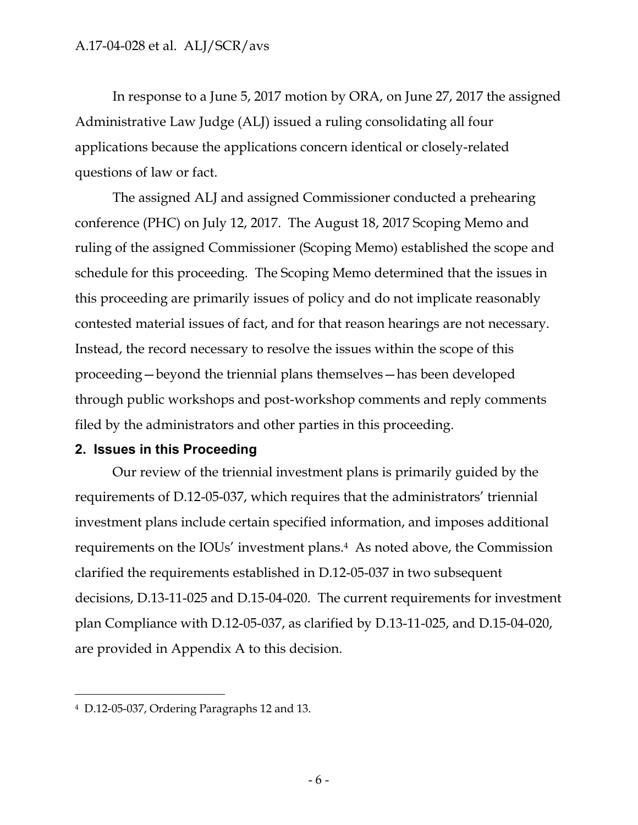In response to a June 5, 2017 motion by ORA, on June 27, 2017 the assigned Administrative Law Judge (ALJ) issued a ruling consolidating all four applications because the applications concern identical or closely-related questions of law or fact.

The assigned ALJ and assigned Commissioner conducted a prehearing conference (PHC) on July 12, 2017. The August 18, 2017 Scoping Memo and ruling of the assigned Commissioner (Scoping Memo) established the scope and schedule for this proceeding. The Scoping Memo determined that the issues in this proceeding are primarily issues of policy and do not implicate reasonably contested material issues of fact, and for that reason hearings are not necessary. Instead, the record necessary to resolve the issues within the scope of this proceeding—beyond the triennial plans themselves—has been developed through public workshops and post-workshop comments and reply comments filed by the administrators and other parties in this proceeding.

### <span id="page-6-0"></span>**2. Issues in this Proceeding**

Our review of the triennial investment plans is primarily guided by the requirements of D.12-05-037, which requires that the administrators' triennial investment plans include certain specified information, and imposes additional requirements on the IOUs' investment plans. <sup>4</sup> As noted above, the Commission clarified the requirements established in D.12-05-037 in two subsequent decisions, D.13-11-025 and D.15-04-020. The current requirements for investment plan Compliance with D.12-05-037, as clarified by D.13-11-025, and D.15-04-020, are provided in Appendix A to this decision.

<sup>4</sup> D.12-05-037, Ordering Paragraphs 12 and 13.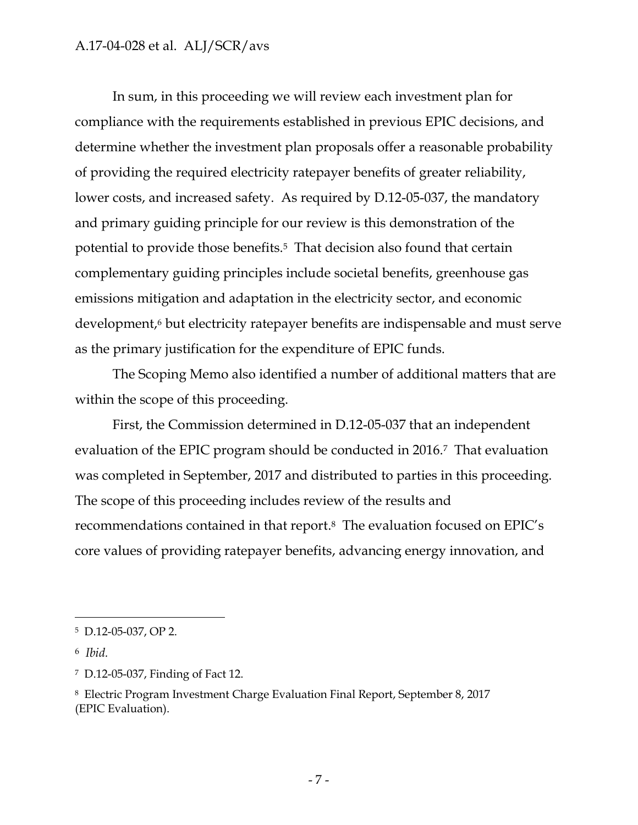In sum, in this proceeding we will review each investment plan for compliance with the requirements established in previous EPIC decisions, and determine whether the investment plan proposals offer a reasonable probability of providing the required electricity ratepayer benefits of greater reliability, lower costs, and increased safety. As required by D.12-05-037, the mandatory and primary guiding principle for our review is this demonstration of the potential to provide those benefits.<sup>5</sup> That decision also found that certain complementary guiding principles include societal benefits, greenhouse gas emissions mitigation and adaptation in the electricity sector, and economic development,<sup>6</sup> but electricity ratepayer benefits are indispensable and must serve as the primary justification for the expenditure of EPIC funds.

The Scoping Memo also identified a number of additional matters that are within the scope of this proceeding.

First, the Commission determined in D.12-05-037 that an independent evaluation of the EPIC program should be conducted in 2016.7 That evaluation was completed in September, 2017 and distributed to parties in this proceeding. The scope of this proceeding includes review of the results and recommendations contained in that report. <sup>8</sup> The evaluation focused on EPIC's core values of providing ratepayer benefits, advancing energy innovation, and

<sup>5</sup> D.12-05-037, OP 2.

<sup>6</sup> *Ibid.*

<sup>7</sup> D.12-05-037, Finding of Fact 12.

<sup>8</sup> Electric Program Investment Charge Evaluation Final Report, September 8, 2017 (EPIC Evaluation).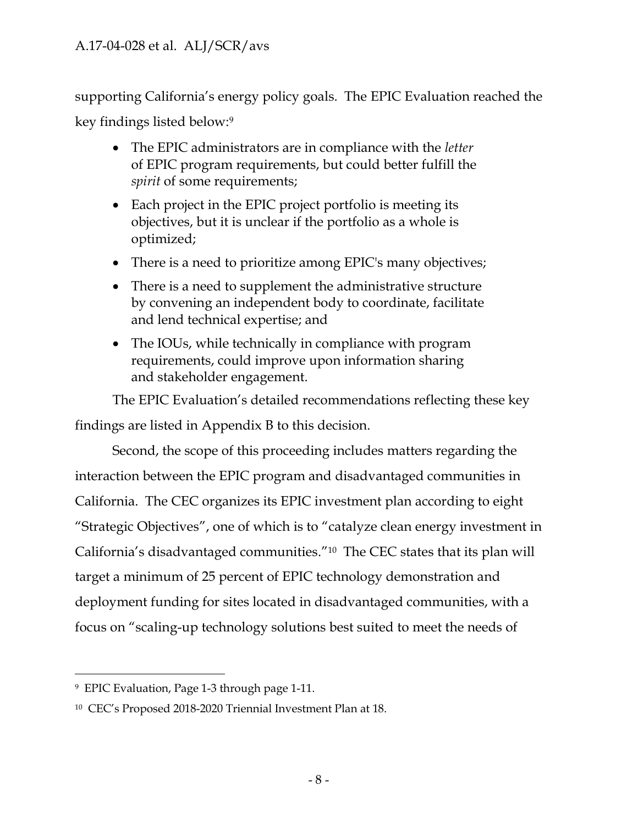supporting California's energy policy goals. The EPIC Evaluation reached the key findings listed below:<sup>9</sup>

- The EPIC administrators are in compliance with the *letter* of EPIC program requirements, but could better fulfill the *spirit* of some requirements;
- Each project in the EPIC project portfolio is meeting its objectives, but it is unclear if the portfolio as a whole is optimized;
- There is a need to prioritize among EPIC's many objectives;
- There is a need to supplement the administrative structure by convening an independent body to coordinate, facilitate and lend technical expertise; and
- The IOUs, while technically in compliance with program requirements, could improve upon information sharing and stakeholder engagement.

The EPIC Evaluation's detailed recommendations reflecting these key findings are listed in Appendix B to this decision.

Second, the scope of this proceeding includes matters regarding the interaction between the EPIC program and disadvantaged communities in California. The CEC organizes its EPIC investment plan according to eight "Strategic Objectives", one of which is to "catalyze clean energy investment in California's disadvantaged communities."10 The CEC states that its plan will target a minimum of 25 percent of EPIC technology demonstration and deployment funding for sites located in disadvantaged communities, with a focus on "scaling-up technology solutions best suited to meet the needs of

 $\overline{a}$ <sup>9</sup> EPIC Evaluation, Page 1-3 through page 1-11.

<sup>10</sup> CEC's Proposed 2018-2020 Triennial Investment Plan at 18.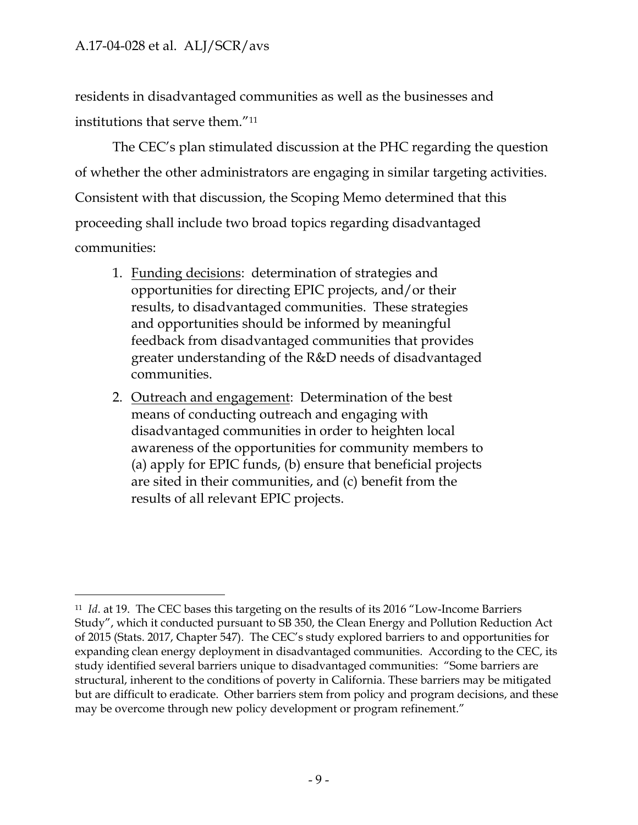residents in disadvantaged communities as well as the businesses and institutions that serve them."<sup>11</sup>

The CEC's plan stimulated discussion at the PHC regarding the question of whether the other administrators are engaging in similar targeting activities. Consistent with that discussion, the Scoping Memo determined that this proceeding shall include two broad topics regarding disadvantaged communities:

- 1. Funding decisions: determination of strategies and opportunities for directing EPIC projects, and/or their results, to disadvantaged communities. These strategies and opportunities should be informed by meaningful feedback from disadvantaged communities that provides greater understanding of the R&D needs of disadvantaged communities.
- 2. Outreach and engagement: Determination of the best means of conducting outreach and engaging with disadvantaged communities in order to heighten local awareness of the opportunities for community members to (a) apply for EPIC funds, (b) ensure that beneficial projects are sited in their communities, and (c) benefit from the results of all relevant EPIC projects.

 $\overline{a}$ <sup>11</sup> *Id*. at 19. The CEC bases this targeting on the results of its 2016 "Low-Income Barriers Study", which it conducted pursuant to SB 350, the Clean Energy and Pollution Reduction Act of 2015 (Stats. 2017, Chapter 547). The CEC's study explored barriers to and opportunities for expanding clean energy deployment in disadvantaged communities. According to the CEC, its study identified several barriers unique to disadvantaged communities: "Some barriers are structural, inherent to the conditions of poverty in California. These barriers may be mitigated but are difficult to eradicate. Other barriers stem from policy and program decisions, and these may be overcome through new policy development or program refinement."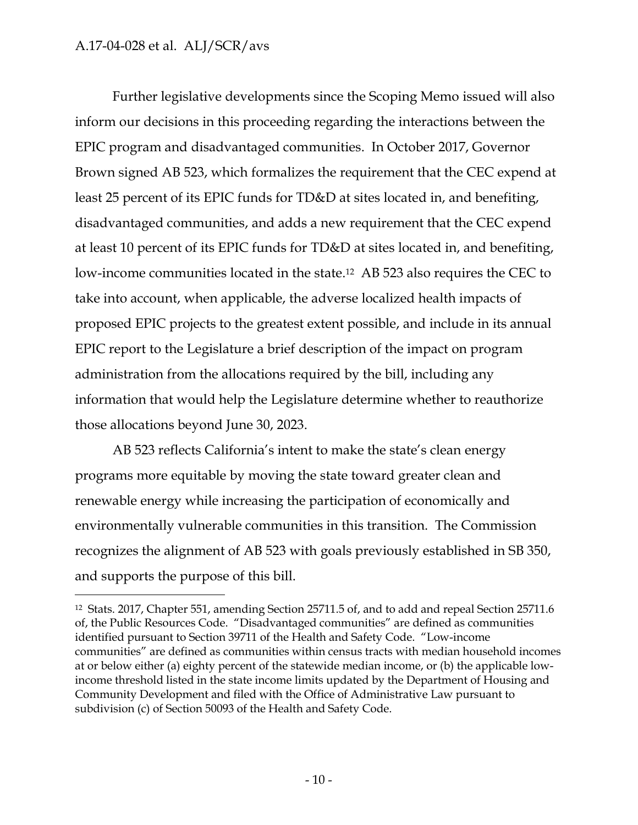$\overline{a}$ 

Further legislative developments since the Scoping Memo issued will also inform our decisions in this proceeding regarding the interactions between the EPIC program and disadvantaged communities. In October 2017, Governor Brown signed AB 523, which formalizes the requirement that the CEC expend at least 25 percent of its EPIC funds for TD&D at sites located in, and benefiting, disadvantaged communities, and adds a new requirement that the CEC expend at least 10 percent of its EPIC funds for TD&D at sites located in, and benefiting, low-income communities located in the state. <sup>12</sup> AB 523 also requires the CEC to take into account, when applicable, the adverse localized health impacts of proposed EPIC projects to the greatest extent possible, and include in its annual EPIC report to the Legislature a brief description of the impact on program administration from the allocations required by the bill, including any information that would help the Legislature determine whether to reauthorize those allocations beyond June 30, 2023.

AB 523 reflects California's intent to make the state's clean energy programs more equitable by moving the state toward greater clean and renewable energy while increasing the participation of economically and environmentally vulnerable communities in this transition. The Commission recognizes the alignment of AB 523 with goals previously established in SB 350, and supports the purpose of this bill.

<sup>12</sup> Stats. 2017, Chapter 551, amending Section 25711.5 of, and to add and repeal Section 25711.6 of, the Public Resources Code. "Disadvantaged communities" are defined as communities identified pursuant to Section 39711 of the Health and Safety Code. "Low-income communities" are defined as communities within census tracts with median household incomes at or below either (a) eighty percent of the statewide median income, or (b) the applicable lowincome threshold listed in the state income limits updated by the Department of Housing and Community Development and filed with the Office of Administrative Law pursuant to subdivision (c) of Section 50093 of the Health and Safety Code.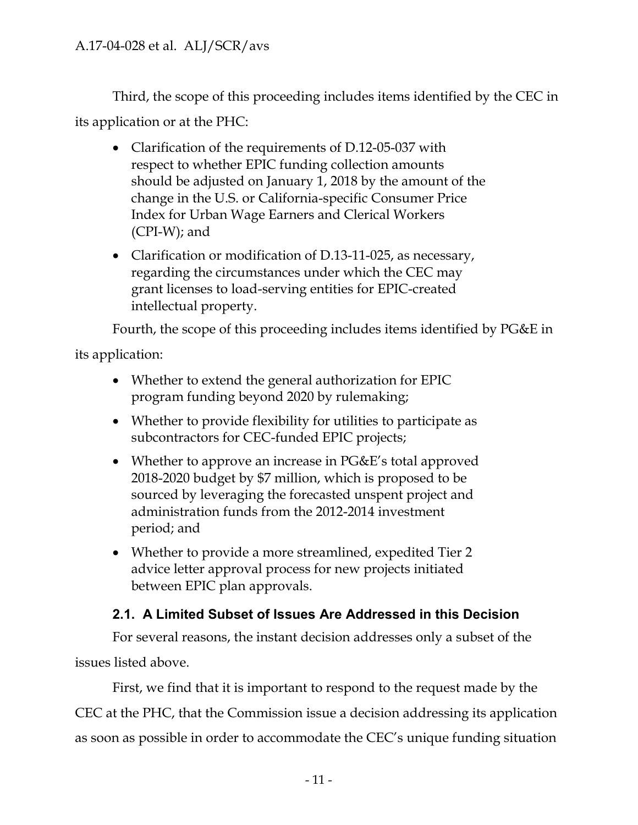Third, the scope of this proceeding includes items identified by the CEC in its application or at the PHC:

- Clarification of the requirements of D.12-05-037 with respect to whether EPIC funding collection amounts should be adjusted on January 1, 2018 by the amount of the change in the U.S. or California-specific Consumer Price Index for Urban Wage Earners and Clerical Workers (CPI-W); and
- Clarification or modification of D.13-11-025, as necessary, regarding the circumstances under which the CEC may grant licenses to load-serving entities for EPIC-created intellectual property.

Fourth, the scope of this proceeding includes items identified by PG&E in

its application:

- Whether to extend the general authorization for EPIC program funding beyond 2020 by rulemaking;
- Whether to provide flexibility for utilities to participate as subcontractors for CEC-funded EPIC projects;
- Whether to approve an increase in PG&E's total approved 2018-2020 budget by \$7 million, which is proposed to be sourced by leveraging the forecasted unspent project and administration funds from the 2012-2014 investment period; and
- Whether to provide a more streamlined, expedited Tier 2 advice letter approval process for new projects initiated between EPIC plan approvals.

### **2.1. A Limited Subset of Issues Are Addressed in this Decision**

<span id="page-11-0"></span>For several reasons, the instant decision addresses only a subset of the issues listed above.

First, we find that it is important to respond to the request made by the CEC at the PHC, that the Commission issue a decision addressing its application as soon as possible in order to accommodate the CEC's unique funding situation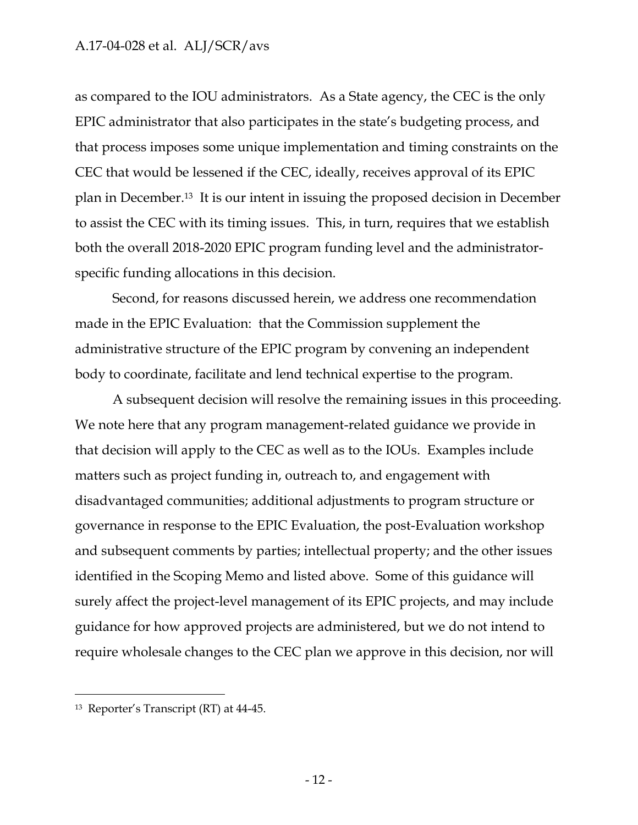as compared to the IOU administrators. As a State agency, the CEC is the only EPIC administrator that also participates in the state's budgeting process, and that process imposes some unique implementation and timing constraints on the CEC that would be lessened if the CEC, ideally, receives approval of its EPIC plan in December.13 It is our intent in issuing the proposed decision in December to assist the CEC with its timing issues. This, in turn, requires that we establish both the overall 2018-2020 EPIC program funding level and the administratorspecific funding allocations in this decision.

Second, for reasons discussed herein, we address one recommendation made in the EPIC Evaluation: that the Commission supplement the administrative structure of the EPIC program by convening an independent body to coordinate, facilitate and lend technical expertise to the program.

A subsequent decision will resolve the remaining issues in this proceeding. We note here that any program management-related guidance we provide in that decision will apply to the CEC as well as to the IOUs. Examples include matters such as project funding in, outreach to, and engagement with disadvantaged communities; additional adjustments to program structure or governance in response to the EPIC Evaluation, the post-Evaluation workshop and subsequent comments by parties; intellectual property; and the other issues identified in the Scoping Memo and listed above. Some of this guidance will surely affect the project-level management of its EPIC projects, and may include guidance for how approved projects are administered, but we do not intend to require wholesale changes to the CEC plan we approve in this decision, nor will

<sup>13</sup> Reporter's Transcript (RT) at 44-45.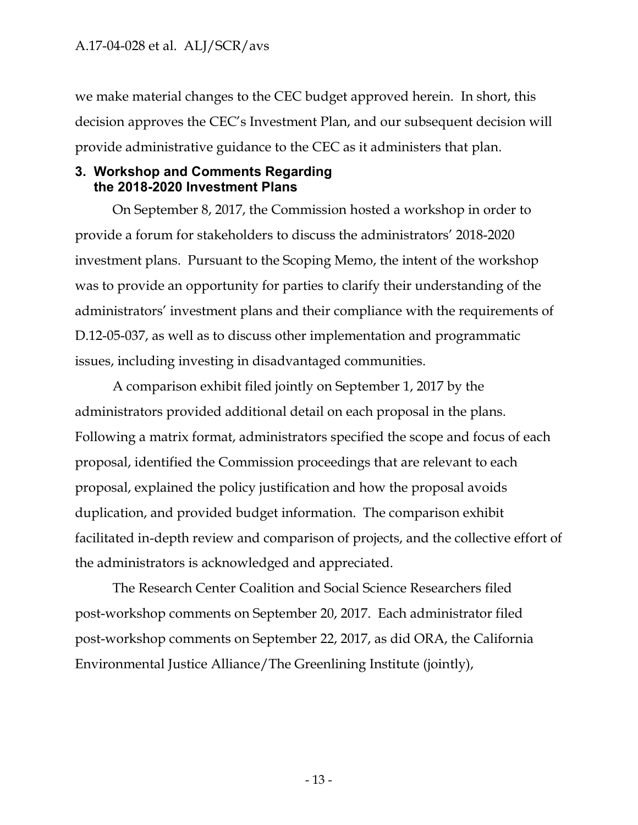we make material changes to the CEC budget approved herein. In short, this decision approves the CEC's Investment Plan, and our subsequent decision will provide administrative guidance to the CEC as it administers that plan.

#### <span id="page-13-0"></span>**3. Workshop and Comments Regarding the 2018-2020 Investment Plans**

On September 8, 2017, the Commission hosted a workshop in order to provide a forum for stakeholders to discuss the administrators' 2018-2020 investment plans. Pursuant to the Scoping Memo, the intent of the workshop was to provide an opportunity for parties to clarify their understanding of the administrators' investment plans and their compliance with the requirements of D.12-05-037, as well as to discuss other implementation and programmatic issues, including investing in disadvantaged communities.

A comparison exhibit filed jointly on September 1, 2017 by the administrators provided additional detail on each proposal in the plans. Following a matrix format, administrators specified the scope and focus of each proposal, identified the Commission proceedings that are relevant to each proposal, explained the policy justification and how the proposal avoids duplication, and provided budget information. The comparison exhibit facilitated in-depth review and comparison of projects, and the collective effort of the administrators is acknowledged and appreciated.

The Research Center Coalition and Social Science Researchers filed post-workshop comments on September 20, 2017. Each administrator filed post-workshop comments on September 22, 2017, as did ORA, the California Environmental Justice Alliance/The Greenlining Institute (jointly),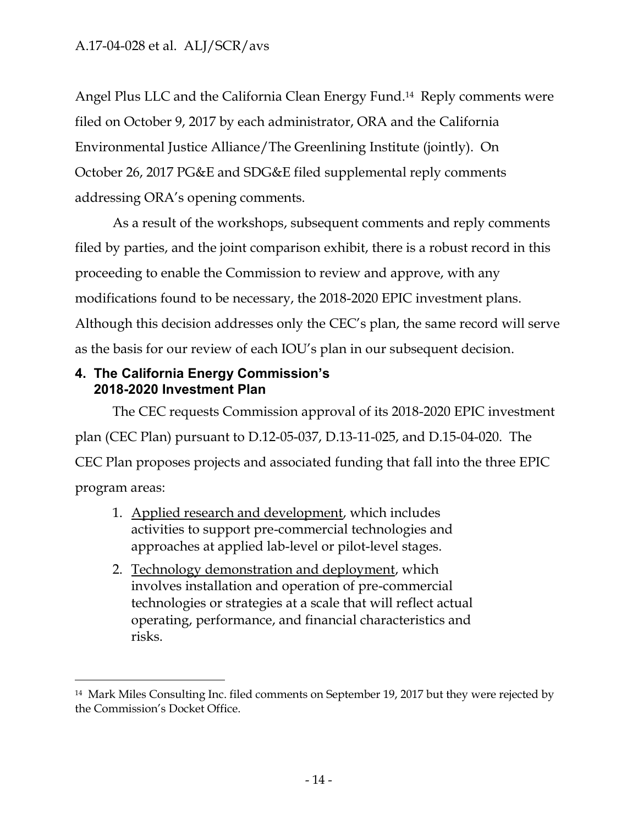Angel Plus LLC and the California Clean Energy Fund. <sup>14</sup> Reply comments were filed on October 9, 2017 by each administrator, ORA and the California Environmental Justice Alliance/The Greenlining Institute (jointly). On October 26, 2017 PG&E and SDG&E filed supplemental reply comments addressing ORA's opening comments.

As a result of the workshops, subsequent comments and reply comments filed by parties, and the joint comparison exhibit, there is a robust record in this proceeding to enable the Commission to review and approve, with any modifications found to be necessary, the 2018-2020 EPIC investment plans. Although this decision addresses only the CEC's plan, the same record will serve as the basis for our review of each IOU's plan in our subsequent decision.

### <span id="page-14-0"></span>**4. The California Energy Commission's 2018-2020 Investment Plan**

 $\overline{a}$ 

The CEC requests Commission approval of its 2018-2020 EPIC investment plan (CEC Plan) pursuant to D.12-05-037, D.13-11-025, and D.15-04-020. The CEC Plan proposes projects and associated funding that fall into the three EPIC program areas:

- 1. Applied research and development, which includes activities to support pre-commercial technologies and approaches at applied lab-level or pilot-level stages.
- 2. Technology demonstration and deployment, which involves installation and operation of pre-commercial technologies or strategies at a scale that will reflect actual operating, performance, and financial characteristics and risks.

<sup>14</sup> Mark Miles Consulting Inc. filed comments on September 19, 2017 but they were rejected by the Commission's Docket Office.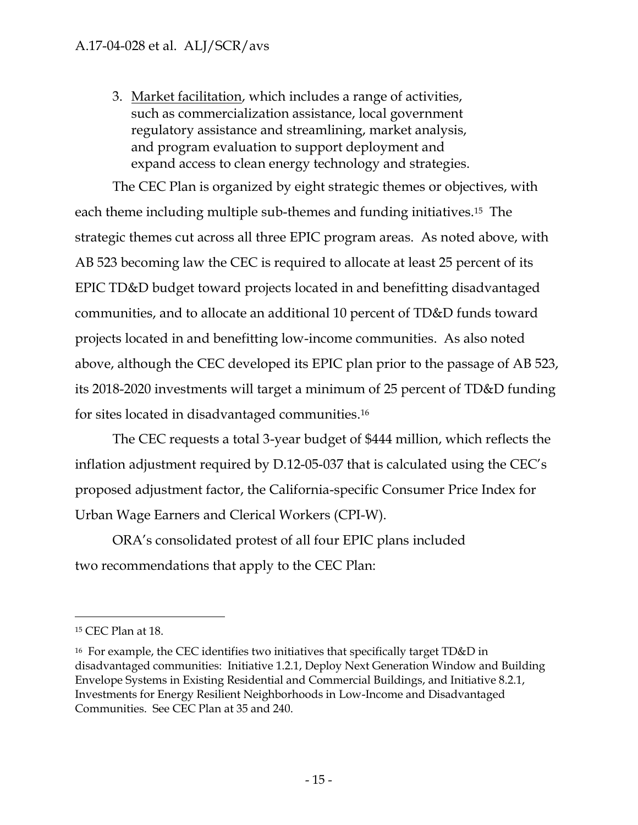3. Market facilitation, which includes a range of activities, such as commercialization assistance, local government regulatory assistance and streamlining, market analysis, and program evaluation to support deployment and expand access to clean energy technology and strategies.

The CEC Plan is organized by eight strategic themes or objectives, with each theme including multiple sub-themes and funding initiatives.15 The strategic themes cut across all three EPIC program areas. As noted above, with AB 523 becoming law the CEC is required to allocate at least 25 percent of its EPIC TD&D budget toward projects located in and benefitting disadvantaged communities, and to allocate an additional 10 percent of TD&D funds toward projects located in and benefitting low-income communities. As also noted above, although the CEC developed its EPIC plan prior to the passage of AB 523, its 2018-2020 investments will target a minimum of 25 percent of TD&D funding for sites located in disadvantaged communities. 16

The CEC requests a total 3-year budget of \$444 million, which reflects the inflation adjustment required by D.12-05-037 that is calculated using the CEC's proposed adjustment factor, the California-specific Consumer Price Index for Urban Wage Earners and Clerical Workers (CPI-W).

ORA's consolidated protest of all four EPIC plans included two recommendations that apply to the CEC Plan:

<sup>15</sup> CEC Plan at 18.

<sup>16</sup> For example, the CEC identifies two initiatives that specifically target TD&D in disadvantaged communities: Initiative 1.2.1, Deploy Next Generation Window and Building Envelope Systems in Existing Residential and Commercial Buildings, and Initiative 8.2.1, Investments for Energy Resilient Neighborhoods in Low-Income and Disadvantaged Communities. See CEC Plan at 35 and 240.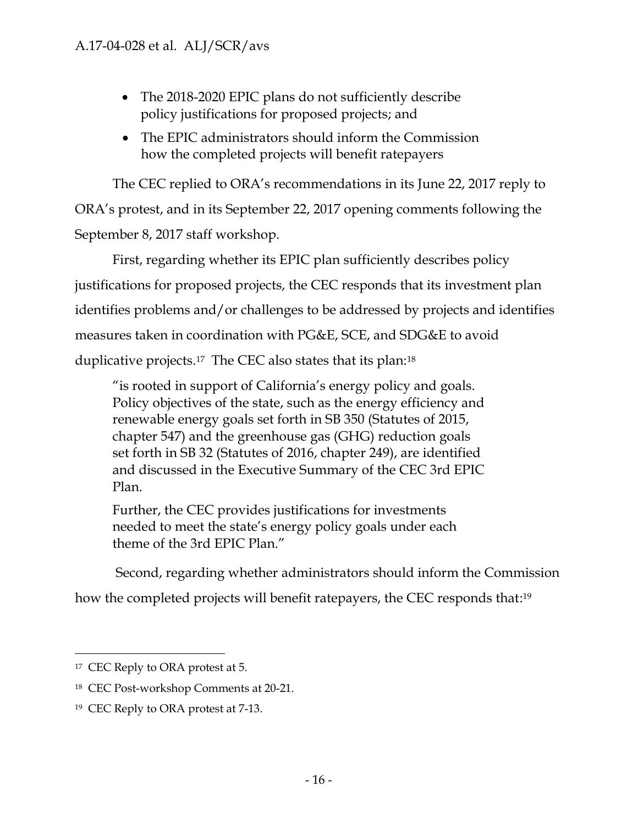- The 2018-2020 EPIC plans do not sufficiently describe policy justifications for proposed projects; and
- The EPIC administrators should inform the Commission how the completed projects will benefit ratepayers

The CEC replied to ORA's recommendations in its June 22, 2017 reply to ORA's protest, and in its September 22, 2017 opening comments following the September 8, 2017 staff workshop.

First, regarding whether its EPIC plan sufficiently describes policy justifications for proposed projects, the CEC responds that its investment plan identifies problems and/or challenges to be addressed by projects and identifies measures taken in coordination with PG&E, SCE, and SDG&E to avoid duplicative projects.<sup>17</sup> The CEC also states that its plan:<sup>18</sup>

"is rooted in support of California's energy policy and goals. Policy objectives of the state, such as the energy efficiency and renewable energy goals set forth in SB 350 (Statutes of 2015, chapter 547) and the greenhouse gas (GHG) reduction goals set forth in SB 32 (Statutes of 2016, chapter 249), are identified and discussed in the Executive Summary of the CEC 3rd EPIC Plan.

Further, the CEC provides justifications for investments needed to meet the state's energy policy goals under each theme of the 3rd EPIC Plan."

Second, regarding whether administrators should inform the Commission

how the completed projects will benefit ratepayers, the CEC responds that: 19

 $\overline{a}$ <sup>17</sup> CEC Reply to ORA protest at 5.

<sup>18</sup> CEC Post-workshop Comments at 20-21.

<sup>19</sup> CEC Reply to ORA protest at 7-13.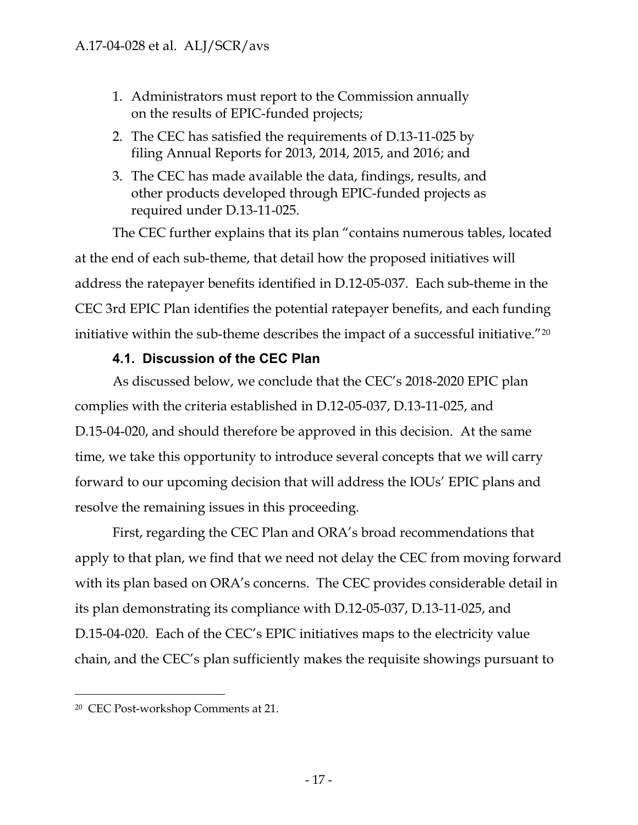- 1. Administrators must report to the Commission annually on the results of EPIC-funded projects;
- 2. The CEC has satisfied the requirements of D.13-11-025 by filing Annual Reports for 2013, 2014, 2015, and 2016; and
- 3. The CEC has made available the data, findings, results, and other products developed through EPIC-funded projects as required under D.13-11-025.

The CEC further explains that its plan "contains numerous tables, located at the end of each sub-theme, that detail how the proposed initiatives will address the ratepayer benefits identified in D.12-05-037. Each sub-theme in the CEC 3rd EPIC Plan identifies the potential ratepayer benefits, and each funding initiative within the sub-theme describes the impact of a successful initiative."<sup>20</sup>

### **4.1. Discussion of the CEC Plan**

<span id="page-17-0"></span>As discussed below, we conclude that the CEC's 2018-2020 EPIC plan complies with the criteria established in D.12-05-037, D.13-11-025, and D.15-04-020, and should therefore be approved in this decision. At the same time, we take this opportunity to introduce several concepts that we will carry forward to our upcoming decision that will address the IOUs' EPIC plans and resolve the remaining issues in this proceeding.

First, regarding the CEC Plan and ORA's broad recommendations that apply to that plan, we find that we need not delay the CEC from moving forward with its plan based on ORA's concerns. The CEC provides considerable detail in its plan demonstrating its compliance with D.12-05-037, D.13-11-025, and D.15-04-020. Each of the CEC's EPIC initiatives maps to the electricity value chain, and the CEC's plan sufficiently makes the requisite showings pursuant to

<sup>20</sup> CEC Post-workshop Comments at 21.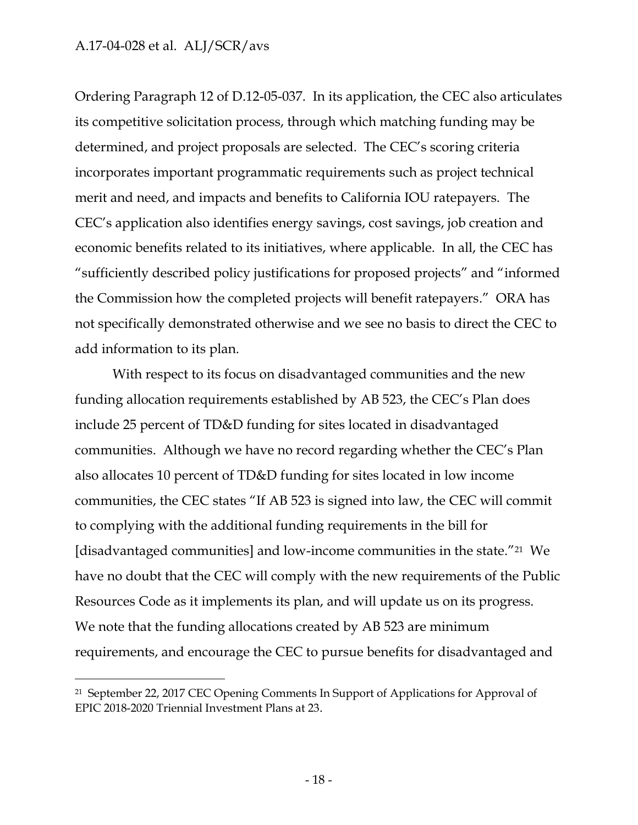$\overline{a}$ 

Ordering Paragraph 12 of D.12-05-037. In its application, the CEC also articulates its competitive solicitation process, through which matching funding may be determined, and project proposals are selected. The CEC's scoring criteria incorporates important programmatic requirements such as project technical merit and need, and impacts and benefits to California IOU ratepayers. The CEC's application also identifies energy savings, cost savings, job creation and economic benefits related to its initiatives, where applicable. In all, the CEC has "sufficiently described policy justifications for proposed projects" and "informed the Commission how the completed projects will benefit ratepayers." ORA has not specifically demonstrated otherwise and we see no basis to direct the CEC to add information to its plan.

With respect to its focus on disadvantaged communities and the new funding allocation requirements established by AB 523, the CEC's Plan does include 25 percent of TD&D funding for sites located in disadvantaged communities. Although we have no record regarding whether the CEC's Plan also allocates 10 percent of TD&D funding for sites located in low income communities, the CEC states "If AB 523 is signed into law, the CEC will commit to complying with the additional funding requirements in the bill for [disadvantaged communities] and low-income communities in the state."21 We have no doubt that the CEC will comply with the new requirements of the Public Resources Code as it implements its plan, and will update us on its progress. We note that the funding allocations created by AB 523 are minimum requirements, and encourage the CEC to pursue benefits for disadvantaged and

<sup>21</sup> September 22, 2017 CEC Opening Comments In Support of Applications for Approval of EPIC 2018-2020 Triennial Investment Plans at 23.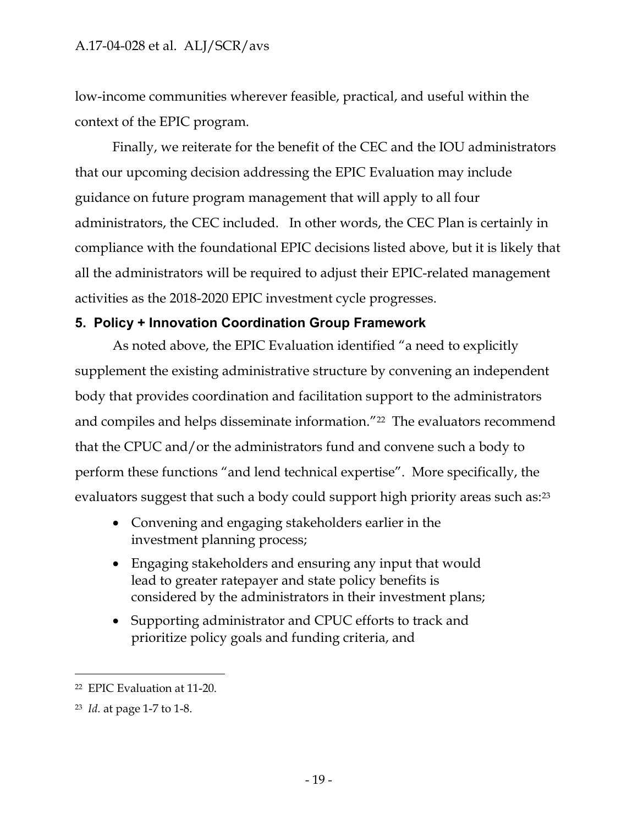low-income communities wherever feasible, practical, and useful within the context of the EPIC program.

Finally, we reiterate for the benefit of the CEC and the IOU administrators that our upcoming decision addressing the EPIC Evaluation may include guidance on future program management that will apply to all four administrators, the CEC included. In other words, the CEC Plan is certainly in compliance with the foundational EPIC decisions listed above, but it is likely that all the administrators will be required to adjust their EPIC-related management activities as the 2018-2020 EPIC investment cycle progresses.

### <span id="page-19-0"></span>**5. Policy + Innovation Coordination Group Framework**

As noted above, the EPIC Evaluation identified "a need to explicitly supplement the existing administrative structure by convening an independent body that provides coordination and facilitation support to the administrators and compiles and helps disseminate information."<sup>22</sup> The evaluators recommend that the CPUC and/or the administrators fund and convene such a body to perform these functions "and lend technical expertise". More specifically, the evaluators suggest that such a body could support high priority areas such as:<sup>23</sup>

- Convening and engaging stakeholders earlier in the investment planning process;
- Engaging stakeholders and ensuring any input that would lead to greater ratepayer and state policy benefits is considered by the administrators in their investment plans;
- Supporting administrator and CPUC efforts to track and prioritize policy goals and funding criteria, and

<sup>22</sup> EPIC Evaluation at 11-20.

<sup>23</sup> *Id.* at page 1-7 to 1-8.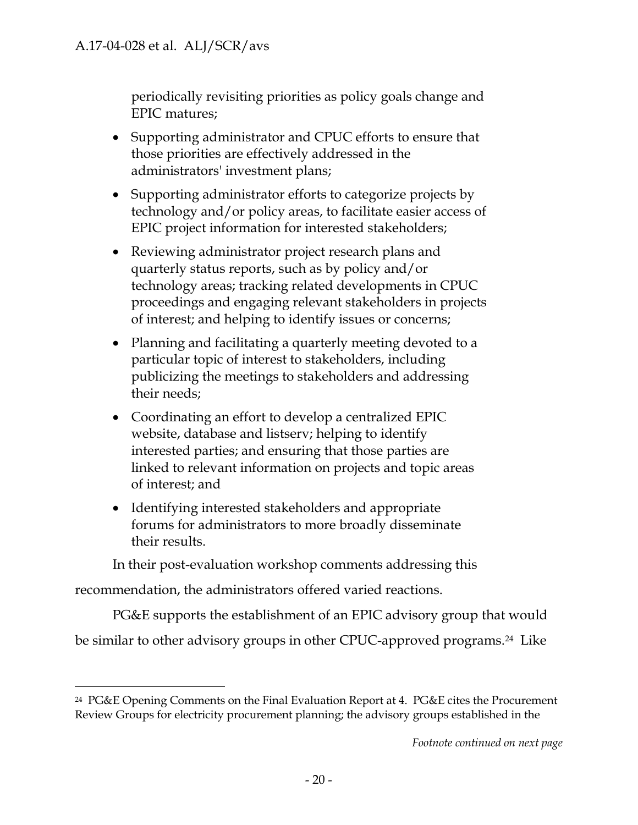periodically revisiting priorities as policy goals change and EPIC matures;

- Supporting administrator and CPUC efforts to ensure that those priorities are effectively addressed in the administrators' investment plans;
- Supporting administrator efforts to categorize projects by technology and/or policy areas, to facilitate easier access of EPIC project information for interested stakeholders;
- Reviewing administrator project research plans and quarterly status reports, such as by policy and/or technology areas; tracking related developments in CPUC proceedings and engaging relevant stakeholders in projects of interest; and helping to identify issues or concerns;
- Planning and facilitating a quarterly meeting devoted to a particular topic of interest to stakeholders, including publicizing the meetings to stakeholders and addressing their needs;
- Coordinating an effort to develop a centralized EPIC website, database and listserv; helping to identify interested parties; and ensuring that those parties are linked to relevant information on projects and topic areas of interest; and
- Identifying interested stakeholders and appropriate forums for administrators to more broadly disseminate their results.

In their post-evaluation workshop comments addressing this

recommendation, the administrators offered varied reactions.

 $\overline{a}$ 

PG&E supports the establishment of an EPIC advisory group that would be similar to other advisory groups in other CPUC-approved programs.<sup>24</sup> Like

<sup>24</sup> PG&E Opening Comments on the Final Evaluation Report at 4. PG&E cites the Procurement Review Groups for electricity procurement planning; the advisory groups established in the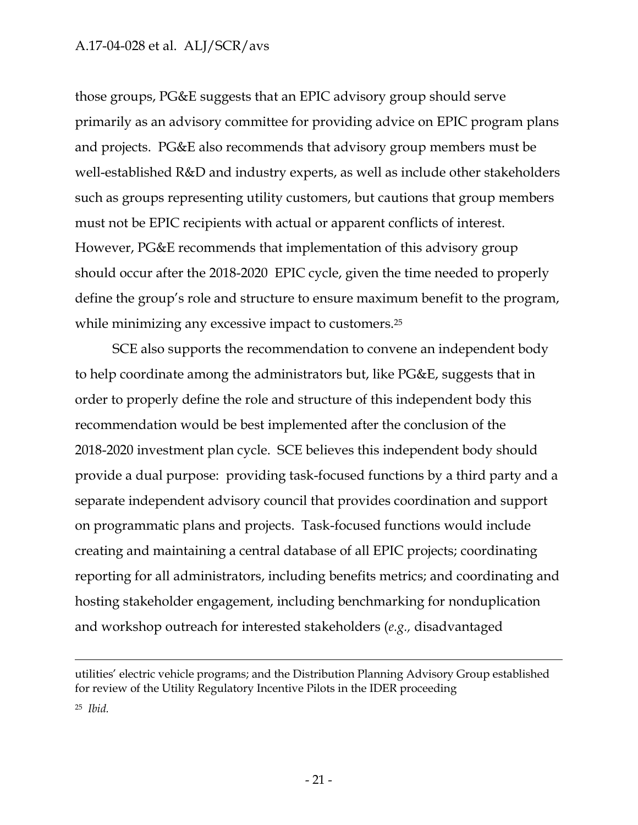$\overline{a}$ 

those groups, PG&E suggests that an EPIC advisory group should serve primarily as an advisory committee for providing advice on EPIC program plans and projects. PG&E also recommends that advisory group members must be well-established R&D and industry experts, as well as include other stakeholders such as groups representing utility customers, but cautions that group members must not be EPIC recipients with actual or apparent conflicts of interest. However, PG&E recommends that implementation of this advisory group should occur after the 2018-2020 EPIC cycle, given the time needed to properly define the group's role and structure to ensure maximum benefit to the program, while minimizing any excessive impact to customers.<sup>25</sup>

SCE also supports the recommendation to convene an independent body to help coordinate among the administrators but, like PG&E, suggests that in order to properly define the role and structure of this independent body this recommendation would be best implemented after the conclusion of the 2018-2020 investment plan cycle. SCE believes this independent body should provide a dual purpose: providing task-focused functions by a third party and a separate independent advisory council that provides coordination and support on programmatic plans and projects. Task-focused functions would include creating and maintaining a central database of all EPIC projects; coordinating reporting for all administrators, including benefits metrics; and coordinating and hosting stakeholder engagement, including benchmarking for nonduplication and workshop outreach for interested stakeholders (*e.g.,* disadvantaged

utilities' electric vehicle programs; and the Distribution Planning Advisory Group established for review of the Utility Regulatory Incentive Pilots in the IDER proceeding <sup>25</sup> *Ibid.*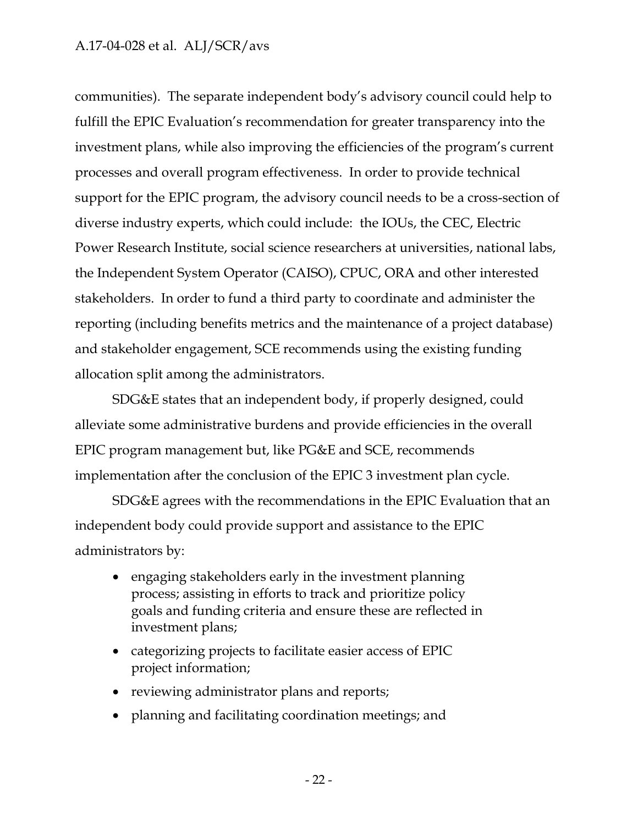communities). The separate independent body's advisory council could help to fulfill the EPIC Evaluation's recommendation for greater transparency into the investment plans, while also improving the efficiencies of the program's current processes and overall program effectiveness. In order to provide technical support for the EPIC program, the advisory council needs to be a cross-section of diverse industry experts, which could include: the IOUs, the CEC, Electric Power Research Institute, social science researchers at universities, national labs, the Independent System Operator (CAISO), CPUC, ORA and other interested stakeholders. In order to fund a third party to coordinate and administer the reporting (including benefits metrics and the maintenance of a project database) and stakeholder engagement, SCE recommends using the existing funding allocation split among the administrators.

SDG&E states that an independent body, if properly designed, could alleviate some administrative burdens and provide efficiencies in the overall EPIC program management but, like PG&E and SCE, recommends implementation after the conclusion of the EPIC 3 investment plan cycle.

SDG&E agrees with the recommendations in the EPIC Evaluation that an independent body could provide support and assistance to the EPIC administrators by:

- engaging stakeholders early in the investment planning process; assisting in efforts to track and prioritize policy goals and funding criteria and ensure these are reflected in investment plans;
- categorizing projects to facilitate easier access of EPIC project information;
- reviewing administrator plans and reports;
- planning and facilitating coordination meetings; and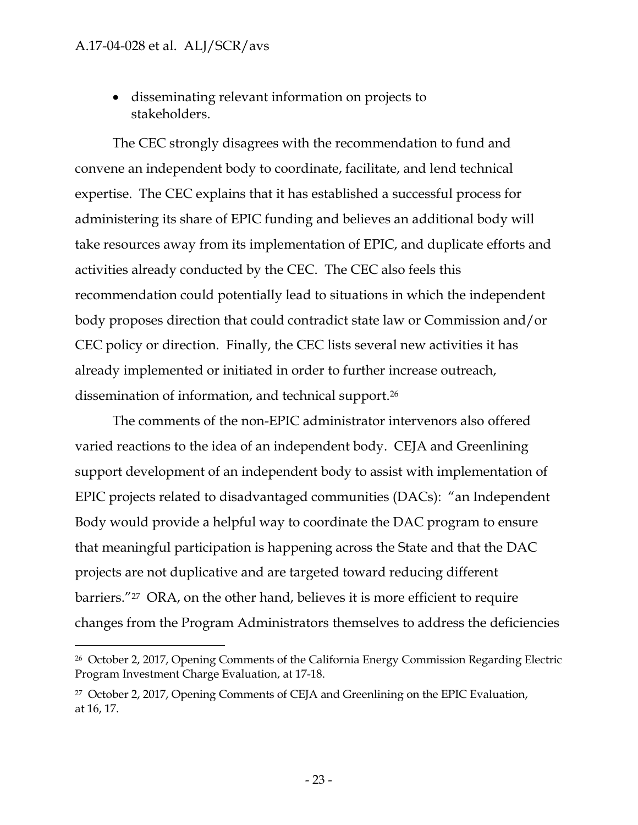$\overline{a}$ 

 disseminating relevant information on projects to stakeholders.

The CEC strongly disagrees with the recommendation to fund and convene an independent body to coordinate, facilitate, and lend technical expertise. The CEC explains that it has established a successful process for administering its share of EPIC funding and believes an additional body will take resources away from its implementation of EPIC, and duplicate efforts and activities already conducted by the CEC. The CEC also feels this recommendation could potentially lead to situations in which the independent body proposes direction that could contradict state law or Commission and/or CEC policy or direction. Finally, the CEC lists several new activities it has already implemented or initiated in order to further increase outreach, dissemination of information, and technical support.<sup>26</sup>

The comments of the non-EPIC administrator intervenors also offered varied reactions to the idea of an independent body. CEJA and Greenlining support development of an independent body to assist with implementation of EPIC projects related to disadvantaged communities (DACs): "an Independent Body would provide a helpful way to coordinate the DAC program to ensure that meaningful participation is happening across the State and that the DAC projects are not duplicative and are targeted toward reducing different barriers."27 ORA, on the other hand, believes it is more efficient to require changes from the Program Administrators themselves to address the deficiencies

<sup>26</sup> October 2, 2017, Opening Comments of the California Energy Commission Regarding Electric Program Investment Charge Evaluation, at 17-18.

<sup>27</sup> October 2, 2017, Opening Comments of CEJA and Greenlining on the EPIC Evaluation, at 16, 17.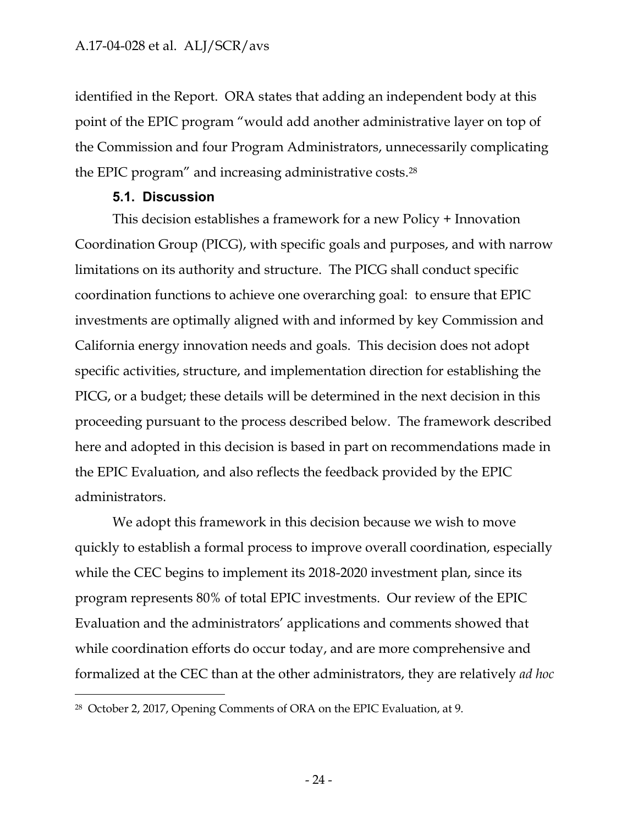identified in the Report. ORA states that adding an independent body at this point of the EPIC program "would add another administrative layer on top of the Commission and four Program Administrators, unnecessarily complicating the EPIC program" and increasing administrative costs. 28

### **5.1. Discussion**

 $\overline{a}$ 

<span id="page-24-0"></span>This decision establishes a framework for a new Policy + Innovation Coordination Group (PICG), with specific goals and purposes, and with narrow limitations on its authority and structure. The PICG shall conduct specific coordination functions to achieve one overarching goal: to ensure that EPIC investments are optimally aligned with and informed by key Commission and California energy innovation needs and goals. This decision does not adopt specific activities, structure, and implementation direction for establishing the PICG, or a budget; these details will be determined in the next decision in this proceeding pursuant to the process described below. The framework described here and adopted in this decision is based in part on recommendations made in the EPIC Evaluation, and also reflects the feedback provided by the EPIC administrators.

We adopt this framework in this decision because we wish to move quickly to establish a formal process to improve overall coordination, especially while the CEC begins to implement its 2018-2020 investment plan, since its program represents 80% of total EPIC investments. Our review of the EPIC Evaluation and the administrators' applications and comments showed that while coordination efforts do occur today, and are more comprehensive and formalized at the CEC than at the other administrators, they are relatively *ad hoc*

<sup>28</sup> October 2, 2017, Opening Comments of ORA on the EPIC Evaluation, at 9.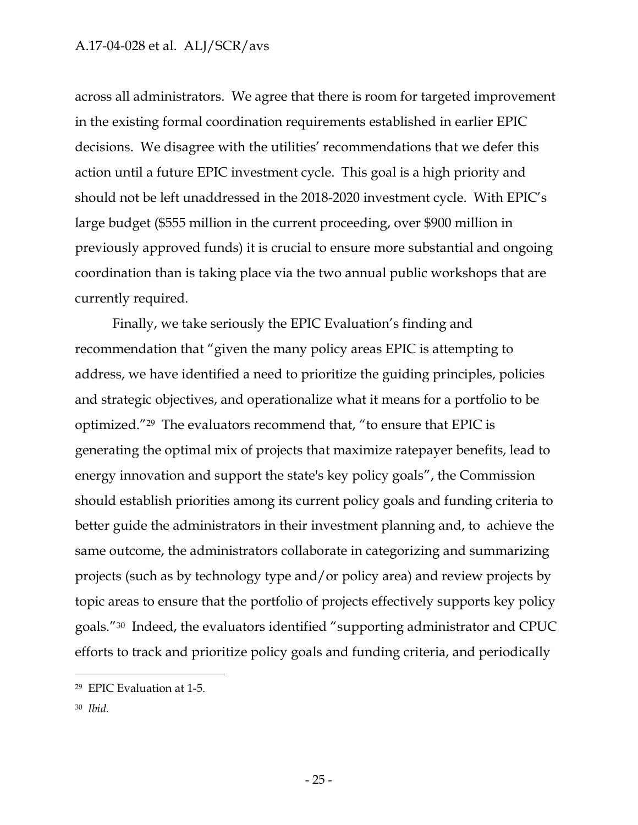across all administrators. We agree that there is room for targeted improvement in the existing formal coordination requirements established in earlier EPIC decisions. We disagree with the utilities' recommendations that we defer this action until a future EPIC investment cycle. This goal is a high priority and should not be left unaddressed in the 2018-2020 investment cycle. With EPIC's large budget (\$555 million in the current proceeding, over \$900 million in previously approved funds) it is crucial to ensure more substantial and ongoing coordination than is taking place via the two annual public workshops that are currently required.

Finally, we take seriously the EPIC Evaluation's finding and recommendation that "given the many policy areas EPIC is attempting to address, we have identified a need to prioritize the guiding principles, policies and strategic objectives, and operationalize what it means for a portfolio to be optimized."29 The evaluators recommend that, "to ensure that EPIC is generating the optimal mix of projects that maximize ratepayer benefits, lead to energy innovation and support the state's key policy goals", the Commission should establish priorities among its current policy goals and funding criteria to better guide the administrators in their investment planning and, to achieve the same outcome, the administrators collaborate in categorizing and summarizing projects (such as by technology type and/or policy area) and review projects by topic areas to ensure that the portfolio of projects effectively supports key policy goals."30 Indeed, the evaluators identified "supporting administrator and CPUC efforts to track and prioritize policy goals and funding criteria, and periodically

<sup>30</sup> *Ibid.*

<sup>29</sup> EPIC Evaluation at 1-5.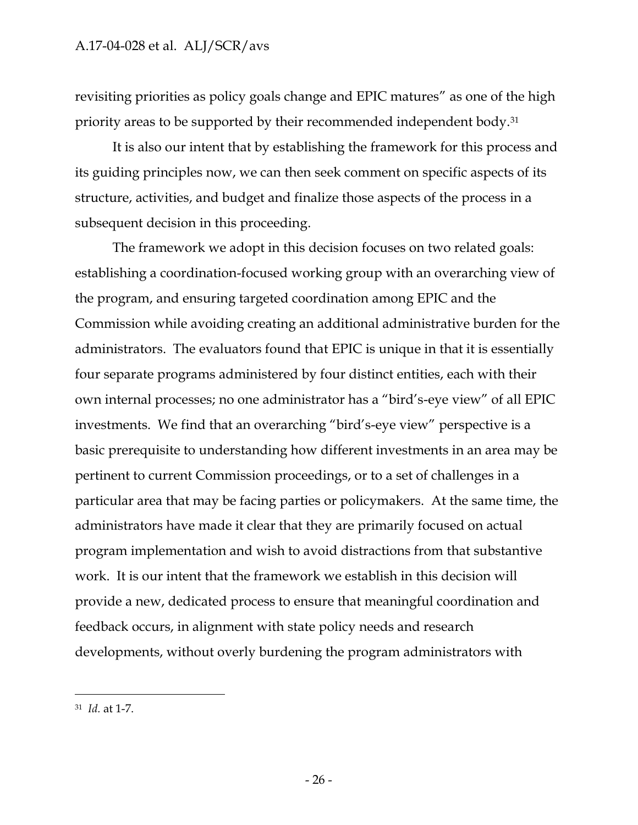revisiting priorities as policy goals change and EPIC matures" as one of the high priority areas to be supported by their recommended independent body.<sup>31</sup>

It is also our intent that by establishing the framework for this process and its guiding principles now, we can then seek comment on specific aspects of its structure, activities, and budget and finalize those aspects of the process in a subsequent decision in this proceeding.

The framework we adopt in this decision focuses on two related goals: establishing a coordination-focused working group with an overarching view of the program, and ensuring targeted coordination among EPIC and the Commission while avoiding creating an additional administrative burden for the administrators. The evaluators found that EPIC is unique in that it is essentially four separate programs administered by four distinct entities, each with their own internal processes; no one administrator has a "bird's-eye view" of all EPIC investments. We find that an overarching "bird's-eye view" perspective is a basic prerequisite to understanding how different investments in an area may be pertinent to current Commission proceedings, or to a set of challenges in a particular area that may be facing parties or policymakers. At the same time, the administrators have made it clear that they are primarily focused on actual program implementation and wish to avoid distractions from that substantive work. It is our intent that the framework we establish in this decision will provide a new, dedicated process to ensure that meaningful coordination and feedback occurs, in alignment with state policy needs and research developments, without overly burdening the program administrators with

<sup>31</sup> *Id.* at 1-7.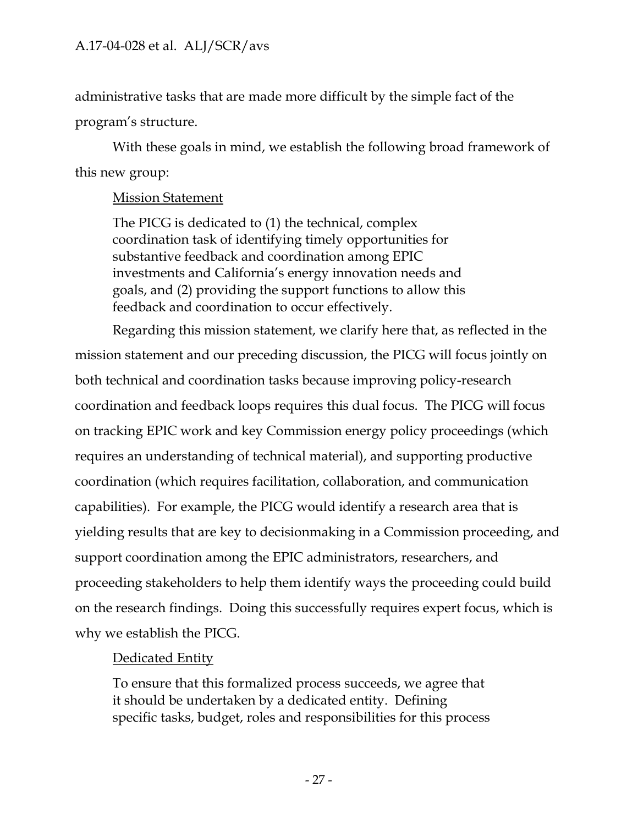administrative tasks that are made more difficult by the simple fact of the program's structure.

With these goals in mind, we establish the following broad framework of this new group:

### Mission Statement

The PICG is dedicated to (1) the technical, complex coordination task of identifying timely opportunities for substantive feedback and coordination among EPIC investments and California's energy innovation needs and goals, and (2) providing the support functions to allow this feedback and coordination to occur effectively.

Regarding this mission statement, we clarify here that, as reflected in the mission statement and our preceding discussion, the PICG will focus jointly on both technical and coordination tasks because improving policy-research coordination and feedback loops requires this dual focus. The PICG will focus on tracking EPIC work and key Commission energy policy proceedings (which requires an understanding of technical material), and supporting productive coordination (which requires facilitation, collaboration, and communication capabilities). For example, the PICG would identify a research area that is yielding results that are key to decisionmaking in a Commission proceeding, and support coordination among the EPIC administrators, researchers, and proceeding stakeholders to help them identify ways the proceeding could build on the research findings. Doing this successfully requires expert focus, which is why we establish the PICG.

### Dedicated Entity

To ensure that this formalized process succeeds, we agree that it should be undertaken by a dedicated entity. Defining specific tasks, budget, roles and responsibilities for this process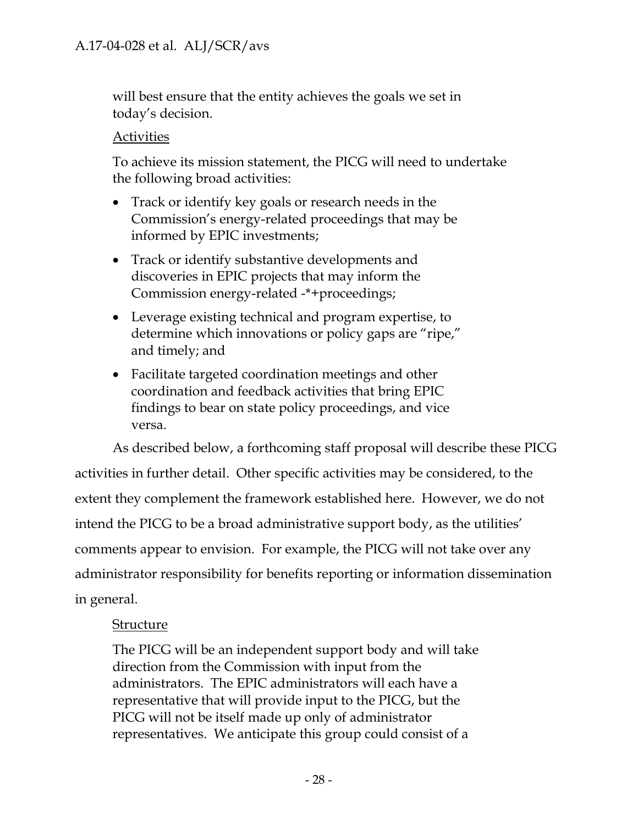will best ensure that the entity achieves the goals we set in today's decision.

### **Activities**

To achieve its mission statement, the PICG will need to undertake the following broad activities:

- Track or identify key goals or research needs in the Commission's energy-related proceedings that may be informed by EPIC investments;
- Track or identify substantive developments and discoveries in EPIC projects that may inform the Commission energy-related -\*+proceedings;
- Leverage existing technical and program expertise, to determine which innovations or policy gaps are "ripe," and timely; and
- Facilitate targeted coordination meetings and other coordination and feedback activities that bring EPIC findings to bear on state policy proceedings, and vice versa.

As described below, a forthcoming staff proposal will describe these PICG activities in further detail. Other specific activities may be considered, to the extent they complement the framework established here. However, we do not intend the PICG to be a broad administrative support body, as the utilities' comments appear to envision. For example, the PICG will not take over any administrator responsibility for benefits reporting or information dissemination in general.

### Structure

The PICG will be an independent support body and will take direction from the Commission with input from the administrators. The EPIC administrators will each have a representative that will provide input to the PICG, but the PICG will not be itself made up only of administrator representatives. We anticipate this group could consist of a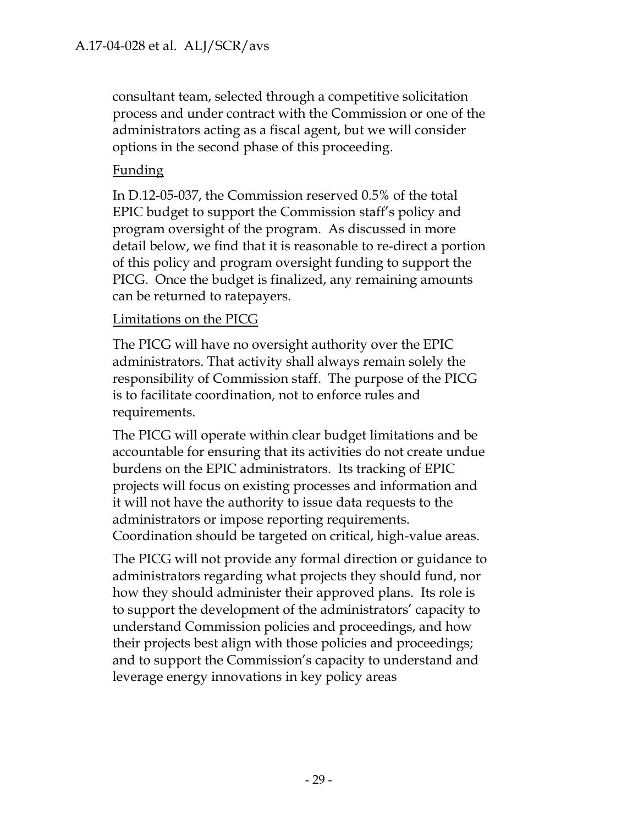consultant team, selected through a competitive solicitation process and under contract with the Commission or one of the administrators acting as a fiscal agent, but we will consider options in the second phase of this proceeding.

### Funding

In D.12-05-037, the Commission reserved 0.5% of the total EPIC budget to support the Commission staff's policy and program oversight of the program. As discussed in more detail below, we find that it is reasonable to re-direct a portion of this policy and program oversight funding to support the PICG. Once the budget is finalized, any remaining amounts can be returned to ratepayers.

### Limitations on the PICG

The PICG will have no oversight authority over the EPIC administrators. That activity shall always remain solely the responsibility of Commission staff. The purpose of the PICG is to facilitate coordination, not to enforce rules and requirements.

The PICG will operate within clear budget limitations and be accountable for ensuring that its activities do not create undue burdens on the EPIC administrators. Its tracking of EPIC projects will focus on existing processes and information and it will not have the authority to issue data requests to the administrators or impose reporting requirements. Coordination should be targeted on critical, high-value areas.

The PICG will not provide any formal direction or guidance to administrators regarding what projects they should fund, nor how they should administer their approved plans. Its role is to support the development of the administrators' capacity to understand Commission policies and proceedings, and how their projects best align with those policies and proceedings; and to support the Commission's capacity to understand and leverage energy innovations in key policy areas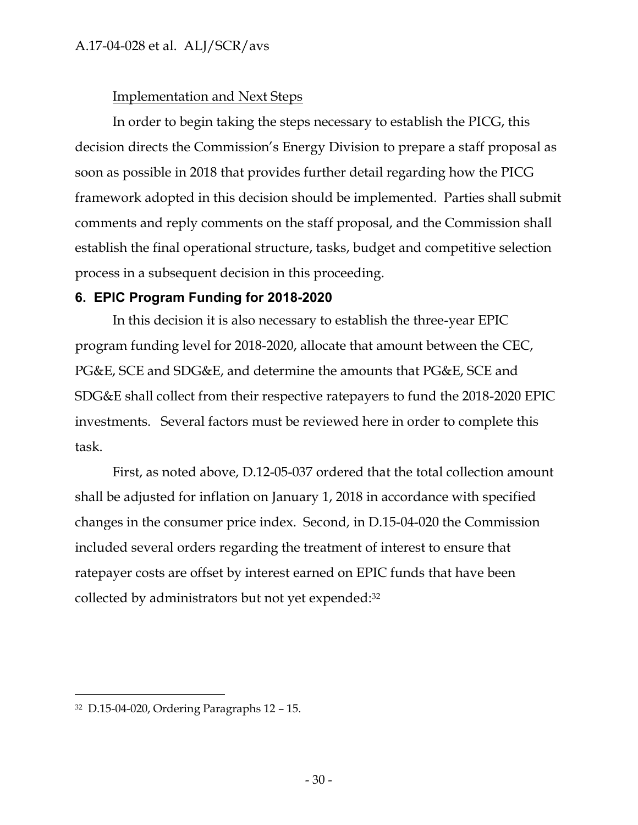### Implementation and Next Steps

In order to begin taking the steps necessary to establish the PICG, this decision directs the Commission's Energy Division to prepare a staff proposal as soon as possible in 2018 that provides further detail regarding how the PICG framework adopted in this decision should be implemented. Parties shall submit comments and reply comments on the staff proposal, and the Commission shall establish the final operational structure, tasks, budget and competitive selection process in a subsequent decision in this proceeding.

### <span id="page-30-0"></span>**6. EPIC Program Funding for 2018-2020**

In this decision it is also necessary to establish the three-year EPIC program funding level for 2018-2020, allocate that amount between the CEC, PG&E, SCE and SDG&E, and determine the amounts that PG&E, SCE and SDG&E shall collect from their respective ratepayers to fund the 2018-2020 EPIC investments. Several factors must be reviewed here in order to complete this task.

First, as noted above, D.12-05-037 ordered that the total collection amount shall be adjusted for inflation on January 1, 2018 in accordance with specified changes in the consumer price index. Second, in D.15-04-020 the Commission included several orders regarding the treatment of interest to ensure that ratepayer costs are offset by interest earned on EPIC funds that have been collected by administrators but not yet expended: 32

<sup>32</sup> D.15-04-020, Ordering Paragraphs 12 – 15.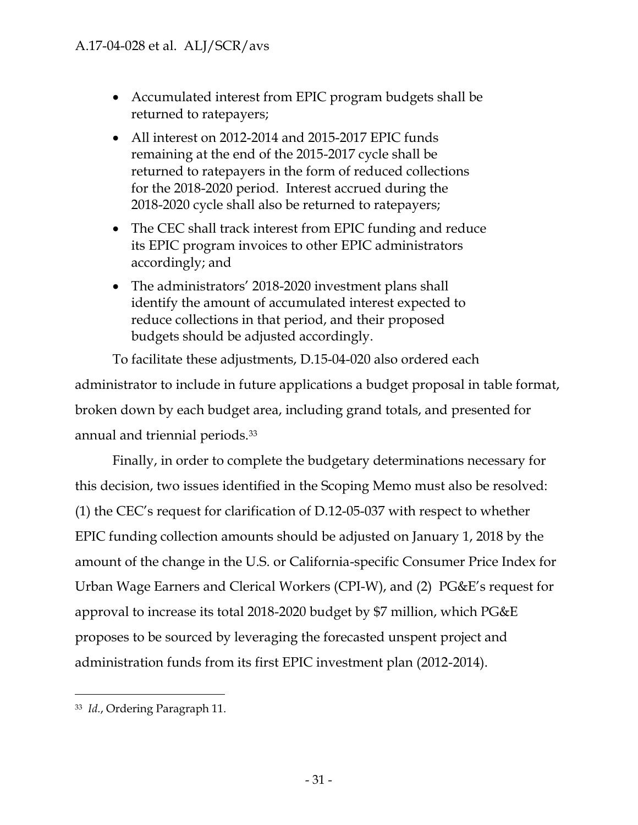- Accumulated interest from EPIC program budgets shall be returned to ratepayers;
- All interest on 2012-2014 and 2015-2017 EPIC funds remaining at the end of the 2015-2017 cycle shall be returned to ratepayers in the form of reduced collections for the 2018-2020 period. Interest accrued during the 2018-2020 cycle shall also be returned to ratepayers;
- The CEC shall track interest from EPIC funding and reduce its EPIC program invoices to other EPIC administrators accordingly; and
- The administrators' 2018-2020 investment plans shall identify the amount of accumulated interest expected to reduce collections in that period, and their proposed budgets should be adjusted accordingly.

To facilitate these adjustments, D.15-04-020 also ordered each administrator to include in future applications a budget proposal in table format, broken down by each budget area, including grand totals, and presented for annual and triennial periods.<sup>33</sup>

Finally, in order to complete the budgetary determinations necessary for this decision, two issues identified in the Scoping Memo must also be resolved: (1) the CEC's request for clarification of D.12-05-037 with respect to whether EPIC funding collection amounts should be adjusted on January 1, 2018 by the amount of the change in the U.S. or California-specific Consumer Price Index for Urban Wage Earners and Clerical Workers (CPI-W), and (2) PG&E's request for approval to increase its total 2018-2020 budget by \$7 million, which PG&E proposes to be sourced by leveraging the forecasted unspent project and administration funds from its first EPIC investment plan (2012-2014).

 $\overline{a}$ <sup>33</sup> *Id.*, Ordering Paragraph 11.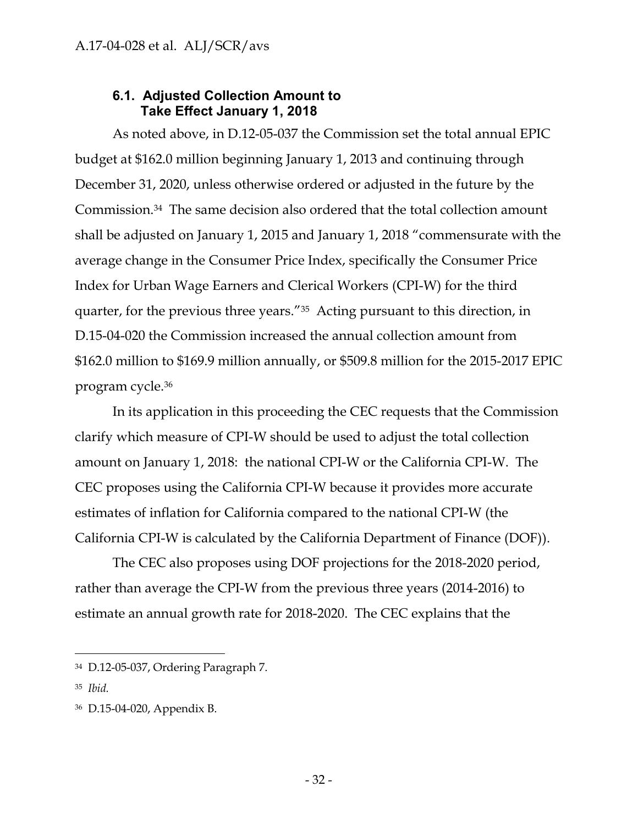### **6.1. Adjusted Collection Amount to Take Effect January 1, 2018**

<span id="page-32-0"></span>As noted above, in D.12-05-037 the Commission set the total annual EPIC budget at \$162.0 million beginning January 1, 2013 and continuing through December 31, 2020, unless otherwise ordered or adjusted in the future by the Commission.34 The same decision also ordered that the total collection amount shall be adjusted on January 1, 2015 and January 1, 2018 "commensurate with the average change in the Consumer Price Index, specifically the Consumer Price Index for Urban Wage Earners and Clerical Workers (CPI-W) for the third quarter, for the previous three years."35 Acting pursuant to this direction, in D.15-04-020 the Commission increased the annual collection amount from \$162.0 million to \$169.9 million annually, or \$509.8 million for the 2015-2017 EPIC program cycle.<sup>36</sup>

In its application in this proceeding the CEC requests that the Commission clarify which measure of CPI-W should be used to adjust the total collection amount on January 1, 2018: the national CPI-W or the California CPI-W. The CEC proposes using the California CPI-W because it provides more accurate estimates of inflation for California compared to the national CPI-W (the California CPI-W is calculated by the California Department of Finance (DOF)).

The CEC also proposes using DOF projections for the 2018-2020 period, rather than average the CPI-W from the previous three years (2014-2016) to estimate an annual growth rate for 2018-2020. The CEC explains that the

<sup>34</sup> D.12-05-037, Ordering Paragraph 7.

<sup>35</sup> *Ibid.*

<sup>36</sup> D.15-04-020, Appendix B.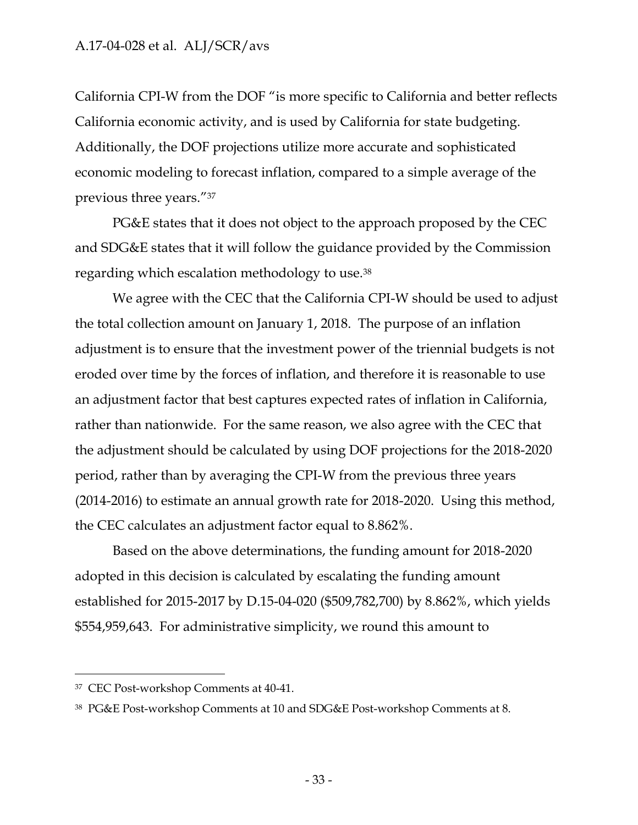California CPI-W from the DOF "is more specific to California and better reflects California economic activity, and is used by California for state budgeting. Additionally, the DOF projections utilize more accurate and sophisticated economic modeling to forecast inflation, compared to a simple average of the previous three years."<sup>37</sup>

PG&E states that it does not object to the approach proposed by the CEC and SDG&E states that it will follow the guidance provided by the Commission regarding which escalation methodology to use.<sup>38</sup>

We agree with the CEC that the California CPI-W should be used to adjust the total collection amount on January 1, 2018. The purpose of an inflation adjustment is to ensure that the investment power of the triennial budgets is not eroded over time by the forces of inflation, and therefore it is reasonable to use an adjustment factor that best captures expected rates of inflation in California, rather than nationwide. For the same reason, we also agree with the CEC that the adjustment should be calculated by using DOF projections for the 2018-2020 period, rather than by averaging the CPI-W from the previous three years (2014-2016) to estimate an annual growth rate for 2018-2020. Using this method, the CEC calculates an adjustment factor equal to 8.862%.

Based on the above determinations, the funding amount for 2018-2020 adopted in this decision is calculated by escalating the funding amount established for 2015-2017 by D.15-04-020 (\$509,782,700) by 8.862%, which yields \$554,959,643. For administrative simplicity, we round this amount to

<sup>37</sup> CEC Post-workshop Comments at 40-41.

<sup>38</sup> PG&E Post-workshop Comments at 10 and SDG&E Post-workshop Comments at 8.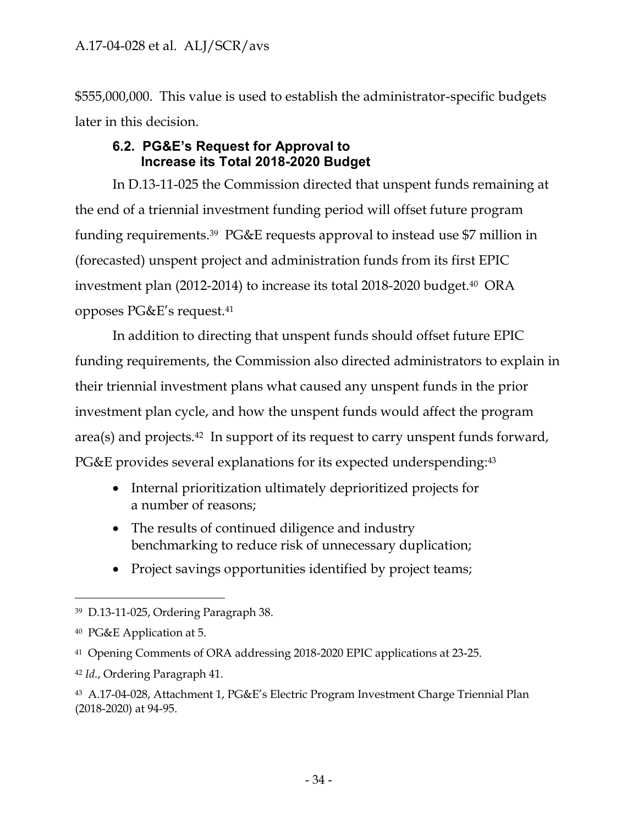\$555,000,000. This value is used to establish the administrator-specific budgets later in this decision.

### **6.2. PG&E's Request for Approval to Increase its Total 2018-2020 Budget**

<span id="page-34-0"></span>In D.13-11-025 the Commission directed that unspent funds remaining at the end of a triennial investment funding period will offset future program funding requirements.39 PG&E requests approval to instead use \$7 million in (forecasted) unspent project and administration funds from its first EPIC investment plan (2012-2014) to increase its total 2018-2020 budget.40 ORA opposes PG&E's request.<sup>41</sup>

In addition to directing that unspent funds should offset future EPIC funding requirements, the Commission also directed administrators to explain in their triennial investment plans what caused any unspent funds in the prior investment plan cycle, and how the unspent funds would affect the program area(s) and projects.42 In support of its request to carry unspent funds forward, PG&E provides several explanations for its expected underspending: 43

- Internal prioritization ultimately deprioritized projects for a number of reasons;
- The results of continued diligence and industry benchmarking to reduce risk of unnecessary duplication;
- Project savings opportunities identified by project teams;

 $\overline{a}$ <sup>39</sup> D.13-11-025, Ordering Paragraph 38.

<sup>40</sup> PG&E Application at 5.

<sup>41</sup> Opening Comments of ORA addressing 2018-2020 EPIC applications at 23-25.

<sup>42</sup> *Id.*, Ordering Paragraph 41.

<sup>43</sup> A.17-04-028, Attachment 1, PG&E's Electric Program Investment Charge Triennial Plan (2018-2020) at 94-95.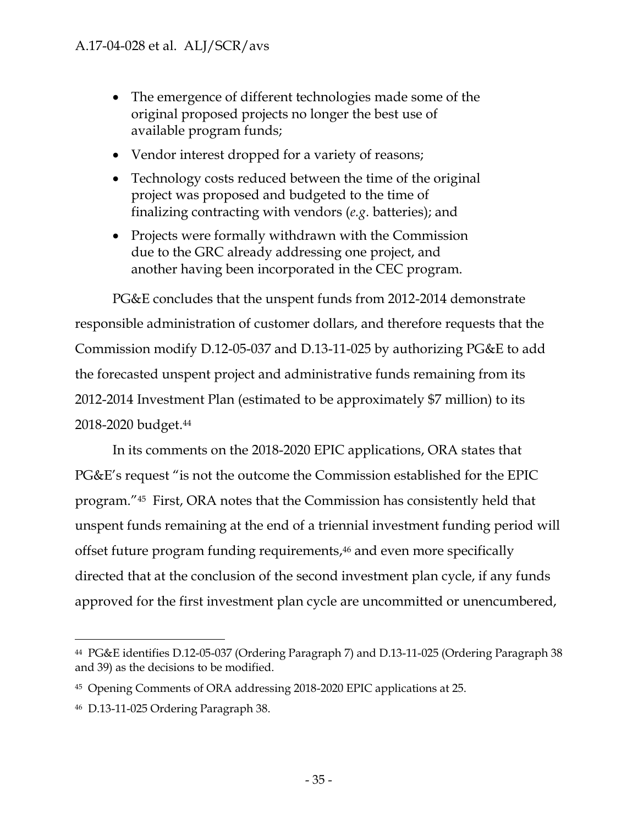- The emergence of different technologies made some of the original proposed projects no longer the best use of available program funds;
- Vendor interest dropped for a variety of reasons;
- Technology costs reduced between the time of the original project was proposed and budgeted to the time of finalizing contracting with vendors (*e.g*. batteries); and
- Projects were formally withdrawn with the Commission due to the GRC already addressing one project, and another having been incorporated in the CEC program.

PG&E concludes that the unspent funds from 2012-2014 demonstrate responsible administration of customer dollars, and therefore requests that the Commission modify D.12-05-037 and D.13-11-025 by authorizing PG&E to add the forecasted unspent project and administrative funds remaining from its 2012-2014 Investment Plan (estimated to be approximately \$7 million) to its 2018-2020 budget. 44

In its comments on the 2018-2020 EPIC applications, ORA states that PG&E's request "is not the outcome the Commission established for the EPIC program."<sup>45</sup> First, ORA notes that the Commission has consistently held that unspent funds remaining at the end of a triennial investment funding period will offset future program funding requirements, <sup>46</sup> and even more specifically directed that at the conclusion of the second investment plan cycle, if any funds approved for the first investment plan cycle are uncommitted or unencumbered,

<sup>44</sup> PG&E identifies D.12-05-037 (Ordering Paragraph 7) and D.13-11-025 (Ordering Paragraph 38 and 39) as the decisions to be modified.

<sup>45</sup> Opening Comments of ORA addressing 2018-2020 EPIC applications at 25.

<sup>46</sup> D.13-11-025 Ordering Paragraph 38.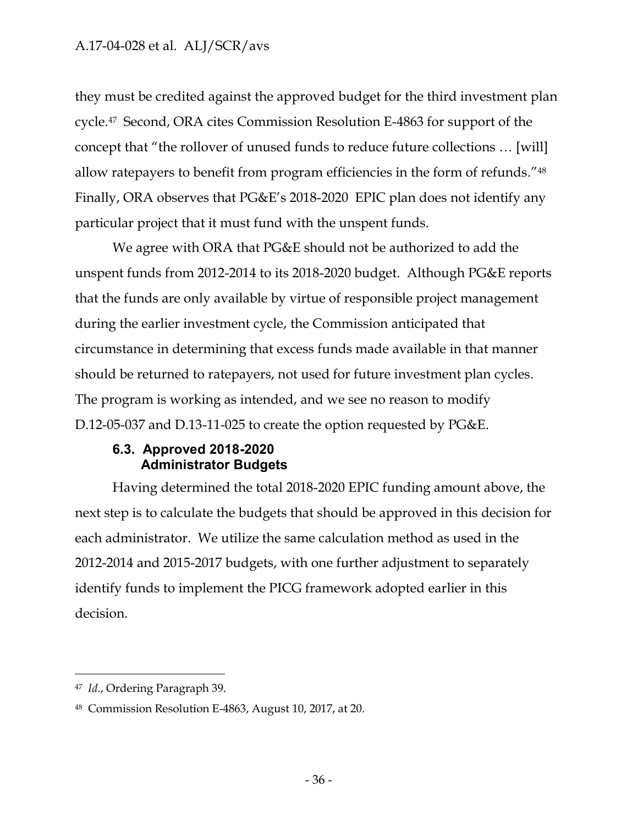they must be credited against the approved budget for the third investment plan cycle.47 Second, ORA cites Commission Resolution E-4863 for support of the concept that "the rollover of unused funds to reduce future collections … [will] allow ratepayers to benefit from program efficiencies in the form of refunds."<sup>48</sup> Finally, ORA observes that PG&E's 2018-2020 EPIC plan does not identify any particular project that it must fund with the unspent funds.

We agree with ORA that PG&E should not be authorized to add the unspent funds from 2012-2014 to its 2018-2020 budget. Although PG&E reports that the funds are only available by virtue of responsible project management during the earlier investment cycle, the Commission anticipated that circumstance in determining that excess funds made available in that manner should be returned to ratepayers, not used for future investment plan cycles. The program is working as intended, and we see no reason to modify D.12-05-037 and D.13-11-025 to create the option requested by PG&E.

### **6.3. Approved 2018-2020 Administrator Budgets**

<span id="page-36-0"></span>Having determined the total 2018-2020 EPIC funding amount above, the next step is to calculate the budgets that should be approved in this decision for each administrator. We utilize the same calculation method as used in the 2012-2014 and 2015-2017 budgets, with one further adjustment to separately identify funds to implement the PICG framework adopted earlier in this decision.

<sup>47</sup> *Id.*, Ordering Paragraph 39.

<sup>48</sup> Commission Resolution E-4863, August 10, 2017, at 20.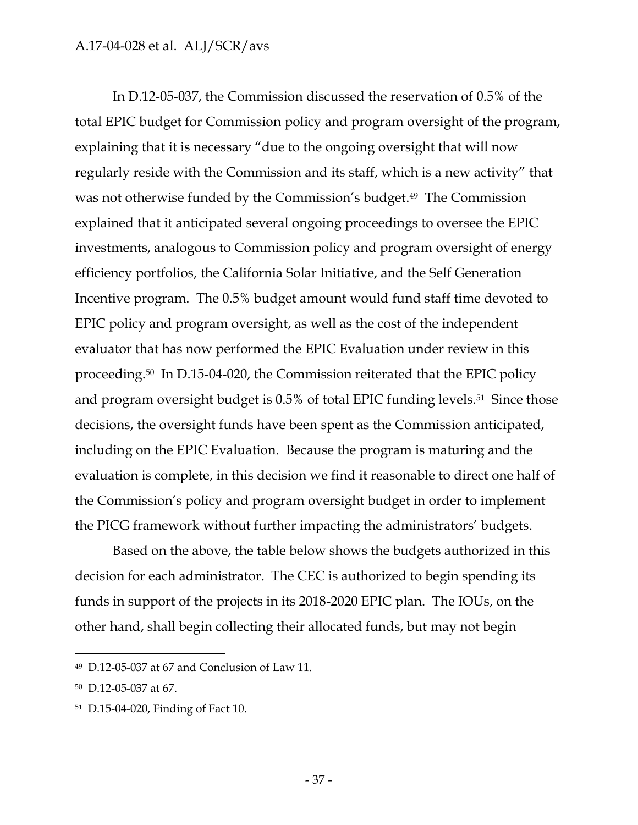In D.12-05-037, the Commission discussed the reservation of 0.5% of the total EPIC budget for Commission policy and program oversight of the program, explaining that it is necessary "due to the ongoing oversight that will now regularly reside with the Commission and its staff, which is a new activity" that was not otherwise funded by the Commission's budget. <sup>49</sup> The Commission explained that it anticipated several ongoing proceedings to oversee the EPIC investments, analogous to Commission policy and program oversight of energy efficiency portfolios, the California Solar Initiative, and the Self Generation Incentive program. The 0.5% budget amount would fund staff time devoted to EPIC policy and program oversight, as well as the cost of the independent evaluator that has now performed the EPIC Evaluation under review in this proceeding. <sup>50</sup> In D.15-04-020, the Commission reiterated that the EPIC policy and program oversight budget is 0.5% of total EPIC funding levels.<sup>51</sup> Since those decisions, the oversight funds have been spent as the Commission anticipated, including on the EPIC Evaluation. Because the program is maturing and the evaluation is complete, in this decision we find it reasonable to direct one half of the Commission's policy and program oversight budget in order to implement the PICG framework without further impacting the administrators' budgets.

Based on the above, the table below shows the budgets authorized in this decision for each administrator. The CEC is authorized to begin spending its funds in support of the projects in its 2018-2020 EPIC plan. The IOUs, on the other hand, shall begin collecting their allocated funds, but may not begin

<sup>49</sup> D.12-05-037 at 67 and Conclusion of Law 11.

<sup>50</sup> D.12-05-037 at 67.

<sup>51</sup> D.15-04-020, Finding of Fact 10.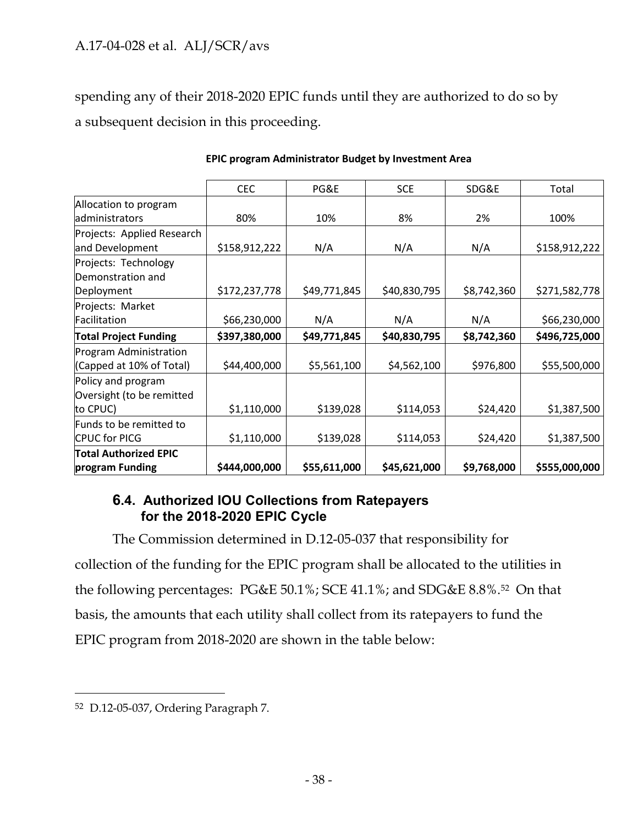spending any of their 2018-2020 EPIC funds until they are authorized to do so by a subsequent decision in this proceeding.

|                              | <b>CEC</b>    | PG&E         | <b>SCE</b>   | SDG&E       | Total         |
|------------------------------|---------------|--------------|--------------|-------------|---------------|
| Allocation to program        |               |              |              |             |               |
| administrators               | 80%           | 10%          | 8%           | 2%          | 100%          |
| Projects: Applied Research   |               |              |              |             |               |
| and Development              | \$158,912,222 | N/A          | N/A          | N/A         | \$158,912,222 |
| Projects: Technology         |               |              |              |             |               |
| Demonstration and            |               |              |              |             |               |
| Deployment                   | \$172,237,778 | \$49,771,845 | \$40,830,795 | \$8,742,360 | \$271,582,778 |
| Projects: Market             |               |              |              |             |               |
| Facilitation                 | \$66,230,000  | N/A          | N/A          | N/A         | \$66,230,000  |
| <b>Total Project Funding</b> | \$397,380,000 | \$49,771,845 | \$40,830,795 | \$8,742,360 | \$496,725,000 |
| Program Administration       |               |              |              |             |               |
| (Capped at 10% of Total)     | \$44,400,000  | \$5,561,100  | \$4,562,100  | \$976,800   | \$55,500,000  |
| Policy and program           |               |              |              |             |               |
| Oversight (to be remitted    |               |              |              |             |               |
| to CPUC)                     | \$1,110,000   | \$139,028    | \$114,053    | \$24,420    | \$1,387,500   |
| Funds to be remitted to      |               |              |              |             |               |
| CPUC for PICG                | \$1,110,000   | \$139,028    | \$114,053    | \$24,420    | \$1,387,500   |
| <b>Total Authorized EPIC</b> |               |              |              |             |               |
| program Funding              | \$444,000,000 | \$55,611,000 | \$45,621,000 | \$9,768,000 | \$555,000,000 |

#### **EPIC program Administrator Budget by Investment Area**

### **6.4. Authorized IOU Collections from Ratepayers for the 2018-2020 EPIC Cycle**

<span id="page-38-0"></span>The Commission determined in D.12-05-037 that responsibility for collection of the funding for the EPIC program shall be allocated to the utilities in the following percentages: PG&E 50.1%; SCE 41.1%; and SDG&E 8.8%.<sup>52</sup> On that basis, the amounts that each utility shall collect from its ratepayers to fund the EPIC program from 2018-2020 are shown in the table below:

<sup>52</sup> D.12-05-037, Ordering Paragraph 7.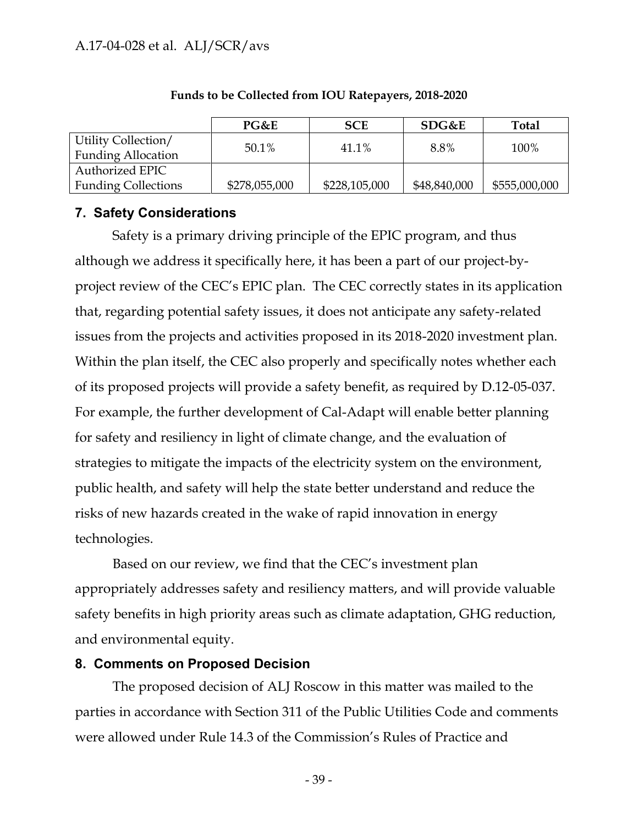|                            | PG&E          | <b>SCE</b>    | SDG&E        | <b>Total</b>  |
|----------------------------|---------------|---------------|--------------|---------------|
| Utility Collection/        | $50.1\%$      | 41.1%         | 8.8%         | 100%          |
| <b>Funding Allocation</b>  |               |               |              |               |
| Authorized EPIC            |               |               |              |               |
| <b>Funding Collections</b> | \$278,055,000 | \$228,105,000 | \$48,840,000 | \$555,000,000 |

#### **Funds to be Collected from IOU Ratepayers, 2018-2020**

### <span id="page-39-0"></span>**7. Safety Considerations**

Safety is a primary driving principle of the EPIC program, and thus although we address it specifically here, it has been a part of our project-byproject review of the CEC's EPIC plan. The CEC correctly states in its application that, regarding potential safety issues, it does not anticipate any safety-related issues from the projects and activities proposed in its 2018-2020 investment plan. Within the plan itself, the CEC also properly and specifically notes whether each of its proposed projects will provide a safety benefit, as required by D.12-05-037. For example, the further development of Cal-Adapt will enable better planning for safety and resiliency in light of climate change, and the evaluation of strategies to mitigate the impacts of the electricity system on the environment, public health, and safety will help the state better understand and reduce the risks of new hazards created in the wake of rapid innovation in energy technologies.

Based on our review, we find that the CEC's investment plan appropriately addresses safety and resiliency matters, and will provide valuable safety benefits in high priority areas such as climate adaptation, GHG reduction, and environmental equity.

### <span id="page-39-1"></span>**8. Comments on Proposed Decision**

The proposed decision of ALJ Roscow in this matter was mailed to the parties in accordance with Section 311 of the Public Utilities Code and comments were allowed under Rule 14.3 of the Commission's Rules of Practice and

- 39 -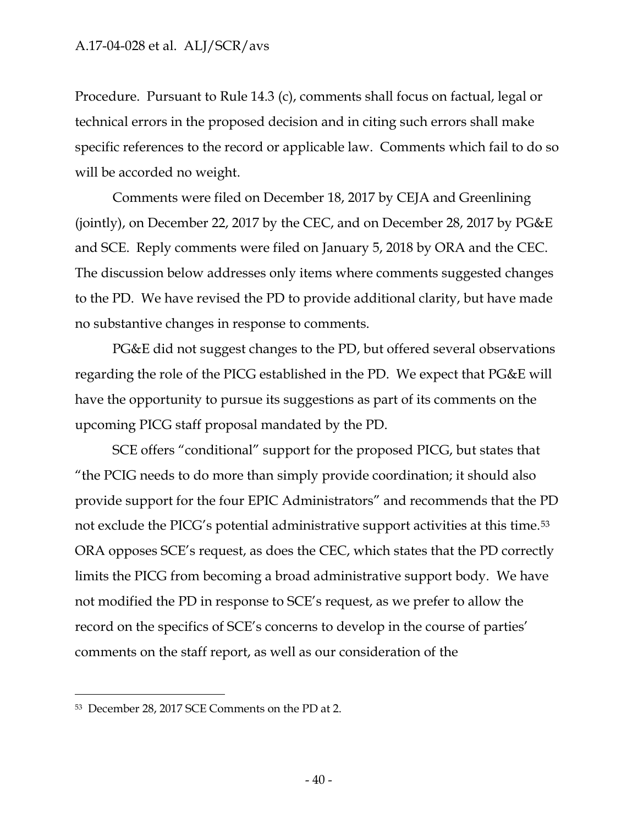Procedure. Pursuant to Rule 14.3 (c), comments shall focus on factual, legal or technical errors in the proposed decision and in citing such errors shall make specific references to the record or applicable law. Comments which fail to do so will be accorded no weight.

Comments were filed on December 18, 2017 by CEJA and Greenlining (jointly), on December 22, 2017 by the CEC, and on December 28, 2017 by PG&E and SCE. Reply comments were filed on January 5, 2018 by ORA and the CEC. The discussion below addresses only items where comments suggested changes to the PD. We have revised the PD to provide additional clarity, but have made no substantive changes in response to comments.

PG&E did not suggest changes to the PD, but offered several observations regarding the role of the PICG established in the PD. We expect that PG&E will have the opportunity to pursue its suggestions as part of its comments on the upcoming PICG staff proposal mandated by the PD.

SCE offers "conditional" support for the proposed PICG, but states that "the PCIG needs to do more than simply provide coordination; it should also provide support for the four EPIC Administrators" and recommends that the PD not exclude the PICG's potential administrative support activities at this time.<sup>53</sup> ORA opposes SCE's request, as does the CEC, which states that the PD correctly limits the PICG from becoming a broad administrative support body. We have not modified the PD in response to SCE's request, as we prefer to allow the record on the specifics of SCE's concerns to develop in the course of parties' comments on the staff report, as well as our consideration of the

<sup>53</sup> December 28, 2017 SCE Comments on the PD at 2.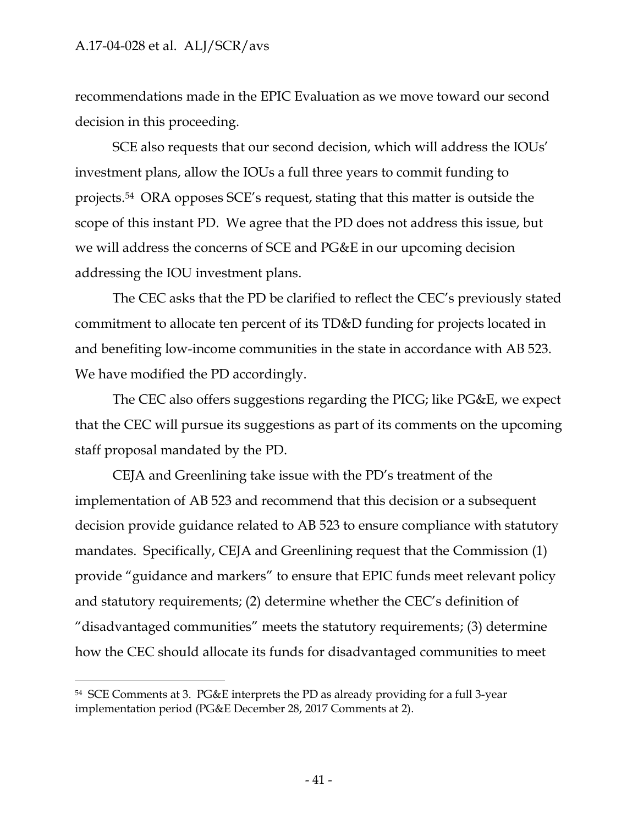recommendations made in the EPIC Evaluation as we move toward our second decision in this proceeding.

SCE also requests that our second decision, which will address the IOUs' investment plans, allow the IOUs a full three years to commit funding to projects.<sup>54</sup> ORA opposes SCE's request, stating that this matter is outside the scope of this instant PD. We agree that the PD does not address this issue, but we will address the concerns of SCE and PG&E in our upcoming decision addressing the IOU investment plans.

The CEC asks that the PD be clarified to reflect the CEC's previously stated commitment to allocate ten percent of its TD&D funding for projects located in and benefiting low-income communities in the state in accordance with AB 523. We have modified the PD accordingly.

The CEC also offers suggestions regarding the PICG; like PG&E, we expect that the CEC will pursue its suggestions as part of its comments on the upcoming staff proposal mandated by the PD.

CEJA and Greenlining take issue with the PD's treatment of the implementation of AB 523 and recommend that this decision or a subsequent decision provide guidance related to AB 523 to ensure compliance with statutory mandates. Specifically, CEJA and Greenlining request that the Commission (1) provide "guidance and markers" to ensure that EPIC funds meet relevant policy and statutory requirements; (2) determine whether the CEC's definition of "disadvantaged communities" meets the statutory requirements; (3) determine how the CEC should allocate its funds for disadvantaged communities to meet

<sup>54</sup> SCE Comments at 3. PG&E interprets the PD as already providing for a full 3-year implementation period (PG&E December 28, 2017 Comments at 2).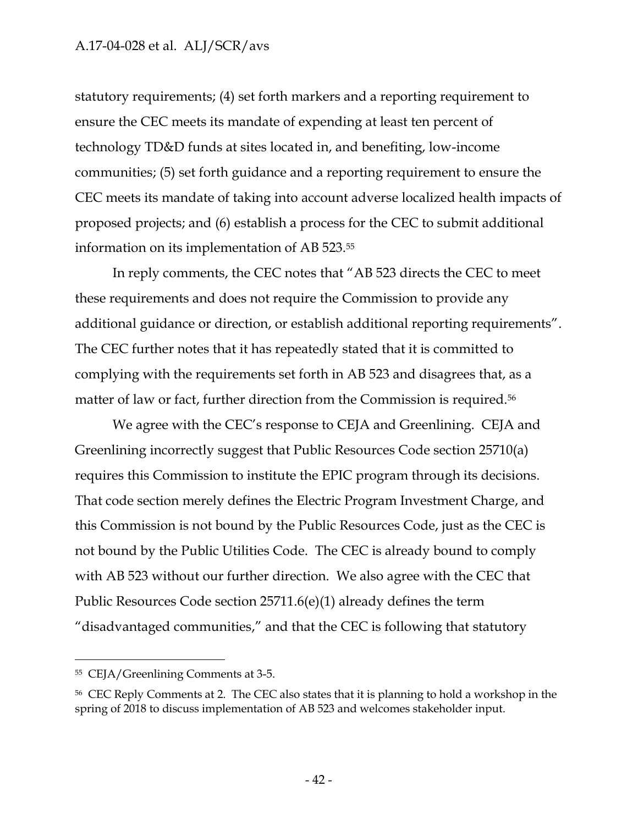statutory requirements; (4) set forth markers and a reporting requirement to ensure the CEC meets its mandate of expending at least ten percent of technology TD&D funds at sites located in, and benefiting, low-income communities; (5) set forth guidance and a reporting requirement to ensure the CEC meets its mandate of taking into account adverse localized health impacts of proposed projects; and (6) establish a process for the CEC to submit additional information on its implementation of AB 523.<sup>55</sup>

In reply comments, the CEC notes that "AB 523 directs the CEC to meet these requirements and does not require the Commission to provide any additional guidance or direction, or establish additional reporting requirements". The CEC further notes that it has repeatedly stated that it is committed to complying with the requirements set forth in AB 523 and disagrees that, as a matter of law or fact, further direction from the Commission is required.<sup>56</sup>

We agree with the CEC's response to CEJA and Greenlining. CEJA and Greenlining incorrectly suggest that Public Resources Code section 25710(a) requires this Commission to institute the EPIC program through its decisions. That code section merely defines the Electric Program Investment Charge, and this Commission is not bound by the Public Resources Code, just as the CEC is not bound by the Public Utilities Code. The CEC is already bound to comply with AB 523 without our further direction. We also agree with the CEC that Public Resources Code section 25711.6(e)(1) already defines the term "disadvantaged communities," and that the CEC is following that statutory

<sup>55</sup> CEJA/Greenlining Comments at 3-5.

<sup>56</sup> CEC Reply Comments at 2. The CEC also states that it is planning to hold a workshop in the spring of 2018 to discuss implementation of AB 523 and welcomes stakeholder input.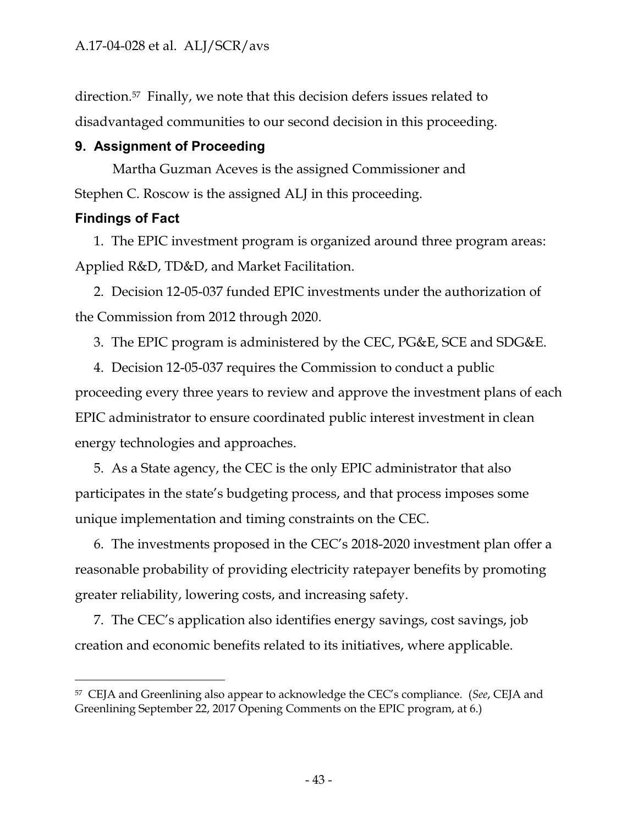direction.57 Finally, we note that this decision defers issues related to disadvantaged communities to our second decision in this proceeding.

### <span id="page-43-0"></span>**9. Assignment of Proceeding**

Martha Guzman Aceves is the assigned Commissioner and Stephen C. Roscow is the assigned ALJ in this proceeding.

### <span id="page-43-1"></span>**Findings of Fact**

 $\overline{a}$ 

1. The EPIC investment program is organized around three program areas: Applied R&D, TD&D, and Market Facilitation.

2. Decision 12-05-037 funded EPIC investments under the authorization of the Commission from 2012 through 2020.

3. The EPIC program is administered by the CEC, PG&E, SCE and SDG&E.

4. Decision 12-05-037 requires the Commission to conduct a public proceeding every three years to review and approve the investment plans of each EPIC administrator to ensure coordinated public interest investment in clean energy technologies and approaches.

5. As a State agency, the CEC is the only EPIC administrator that also participates in the state's budgeting process, and that process imposes some unique implementation and timing constraints on the CEC.

6. The investments proposed in the CEC's 2018-2020 investment plan offer a reasonable probability of providing electricity ratepayer benefits by promoting greater reliability, lowering costs, and increasing safety.

7. The CEC's application also identifies energy savings, cost savings, job creation and economic benefits related to its initiatives, where applicable.

<sup>57</sup> CEJA and Greenlining also appear to acknowledge the CEC's compliance. (*See*, CEJA and Greenlining September 22, 2017 Opening Comments on the EPIC program, at 6.)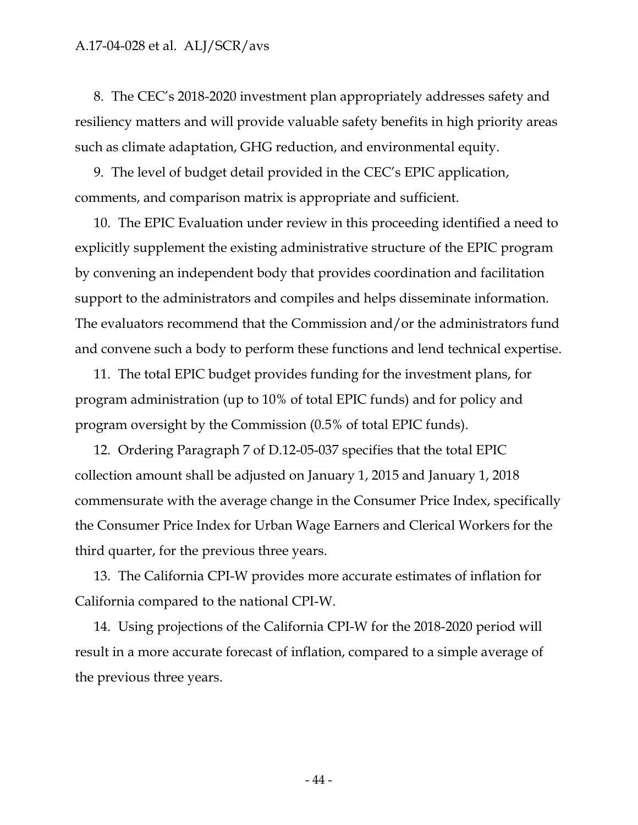8. The CEC's 2018-2020 investment plan appropriately addresses safety and resiliency matters and will provide valuable safety benefits in high priority areas such as climate adaptation, GHG reduction, and environmental equity.

9. The level of budget detail provided in the CEC's EPIC application, comments, and comparison matrix is appropriate and sufficient.

10. The EPIC Evaluation under review in this proceeding identified a need to explicitly supplement the existing administrative structure of the EPIC program by convening an independent body that provides coordination and facilitation support to the administrators and compiles and helps disseminate information. The evaluators recommend that the Commission and/or the administrators fund and convene such a body to perform these functions and lend technical expertise.

11. The total EPIC budget provides funding for the investment plans, for program administration (up to 10% of total EPIC funds) and for policy and program oversight by the Commission (0.5% of total EPIC funds).

12. Ordering Paragraph 7 of D.12-05-037 specifies that the total EPIC collection amount shall be adjusted on January 1, 2015 and January 1, 2018 commensurate with the average change in the Consumer Price Index, specifically the Consumer Price Index for Urban Wage Earners and Clerical Workers for the third quarter, for the previous three years.

13. The California CPI-W provides more accurate estimates of inflation for California compared to the national CPI-W.

14. Using projections of the California CPI-W for the 2018-2020 period will result in a more accurate forecast of inflation, compared to a simple average of the previous three years.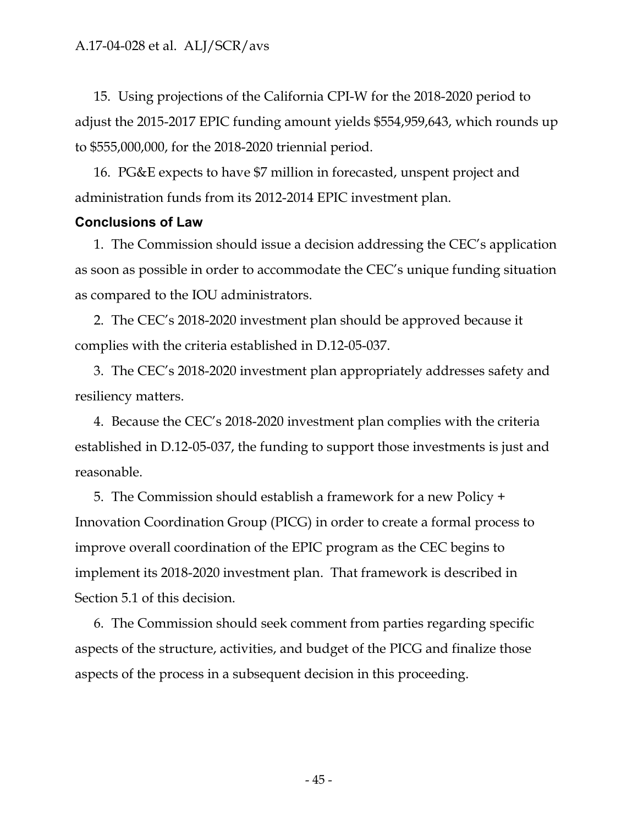15. Using projections of the California CPI-W for the 2018-2020 period to adjust the 2015-2017 EPIC funding amount yields \$554,959,643, which rounds up to \$555,000,000, for the 2018-2020 triennial period.

16. PG&E expects to have \$7 million in forecasted, unspent project and administration funds from its 2012-2014 EPIC investment plan.

### <span id="page-45-0"></span>**Conclusions of Law**

1. The Commission should issue a decision addressing the CEC's application as soon as possible in order to accommodate the CEC's unique funding situation as compared to the IOU administrators.

2. The CEC's 2018-2020 investment plan should be approved because it complies with the criteria established in D.12-05-037.

3. The CEC's 2018-2020 investment plan appropriately addresses safety and resiliency matters.

4. Because the CEC's 2018-2020 investment plan complies with the criteria established in D.12-05-037, the funding to support those investments is just and reasonable.

5. The Commission should establish a framework for a new Policy + Innovation Coordination Group (PICG) in order to create a formal process to improve overall coordination of the EPIC program as the CEC begins to implement its 2018-2020 investment plan. That framework is described in Section 5.1 of this decision.

6. The Commission should seek comment from parties regarding specific aspects of the structure, activities, and budget of the PICG and finalize those aspects of the process in a subsequent decision in this proceeding.

- 45 -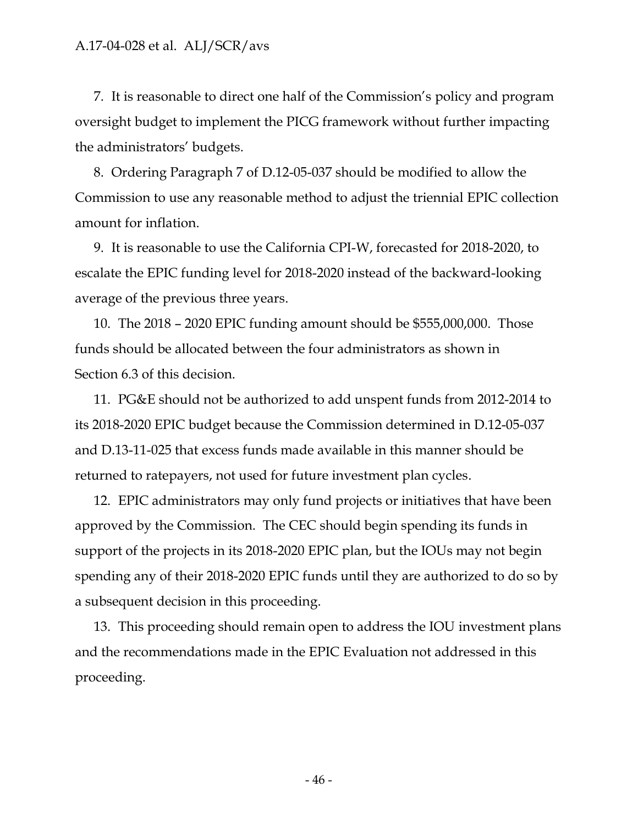7. It is reasonable to direct one half of the Commission's policy and program oversight budget to implement the PICG framework without further impacting the administrators' budgets.

8. Ordering Paragraph 7 of D.12-05-037 should be modified to allow the Commission to use any reasonable method to adjust the triennial EPIC collection amount for inflation.

9. It is reasonable to use the California CPI-W, forecasted for 2018-2020, to escalate the EPIC funding level for 2018-2020 instead of the backward-looking average of the previous three years.

10. The 2018 – 2020 EPIC funding amount should be \$555,000,000. Those funds should be allocated between the four administrators as shown in Section 6.3 of this decision.

11. PG&E should not be authorized to add unspent funds from 2012-2014 to its 2018-2020 EPIC budget because the Commission determined in D.12-05-037 and D.13-11-025 that excess funds made available in this manner should be returned to ratepayers, not used for future investment plan cycles.

12. EPIC administrators may only fund projects or initiatives that have been approved by the Commission. The CEC should begin spending its funds in support of the projects in its 2018-2020 EPIC plan, but the IOUs may not begin spending any of their 2018-2020 EPIC funds until they are authorized to do so by a subsequent decision in this proceeding.

13. This proceeding should remain open to address the IOU investment plans and the recommendations made in the EPIC Evaluation not addressed in this proceeding.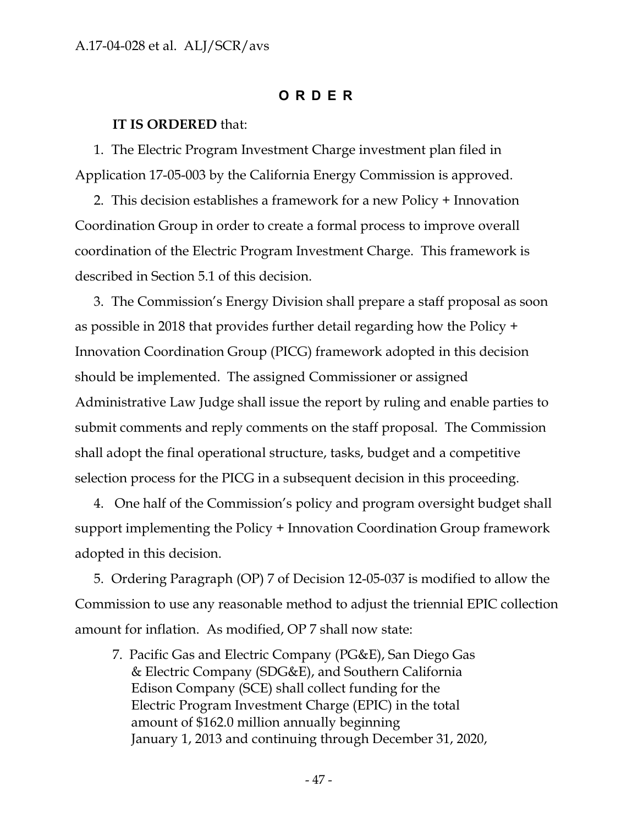#### **ORDER**

#### <span id="page-47-0"></span>**IT IS ORDERED** that:

1. The Electric Program Investment Charge investment plan filed in Application 17-05-003 by the California Energy Commission is approved.

2. This decision establishes a framework for a new Policy + Innovation Coordination Group in order to create a formal process to improve overall coordination of the Electric Program Investment Charge. This framework is described in Section 5.1 of this decision.

3. The Commission's Energy Division shall prepare a staff proposal as soon as possible in 2018 that provides further detail regarding how the Policy + Innovation Coordination Group (PICG) framework adopted in this decision should be implemented. The assigned Commissioner or assigned Administrative Law Judge shall issue the report by ruling and enable parties to submit comments and reply comments on the staff proposal. The Commission shall adopt the final operational structure, tasks, budget and a competitive selection process for the PICG in a subsequent decision in this proceeding.

4. One half of the Commission's policy and program oversight budget shall support implementing the Policy + Innovation Coordination Group framework adopted in this decision.

5. Ordering Paragraph (OP) 7 of Decision 12-05-037 is modified to allow the Commission to use any reasonable method to adjust the triennial EPIC collection amount for inflation. As modified, OP 7 shall now state:

7. Pacific Gas and Electric Company (PG&E), San Diego Gas & Electric Company (SDG&E), and Southern California Edison Company (SCE) shall collect funding for the Electric Program Investment Charge (EPIC) in the total amount of \$162.0 million annually beginning January 1, 2013 and continuing through December 31, 2020,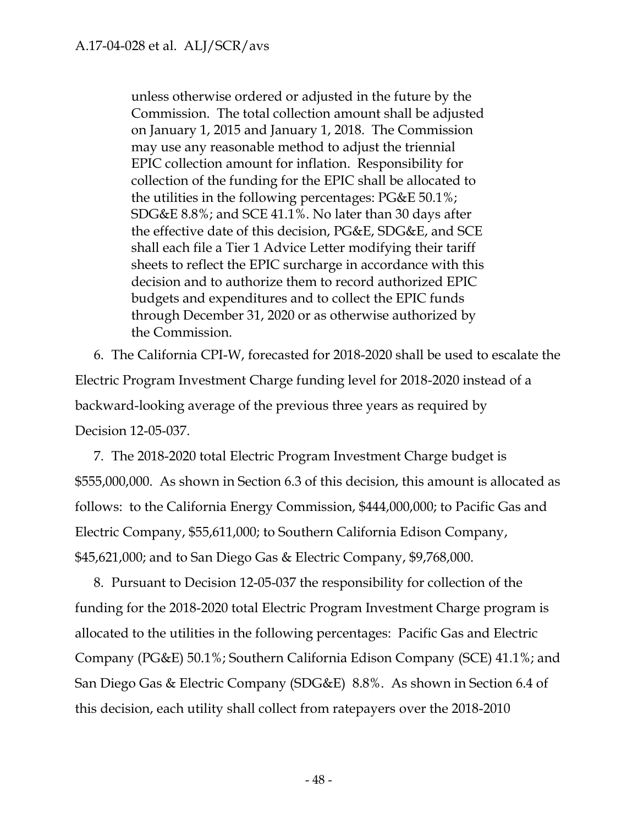unless otherwise ordered or adjusted in the future by the Commission. The total collection amount shall be adjusted on January 1, 2015 and January 1, 2018. The Commission may use any reasonable method to adjust the triennial EPIC collection amount for inflation. Responsibility for collection of the funding for the EPIC shall be allocated to the utilities in the following percentages: PG&E 50.1%; SDG&E 8.8%; and SCE 41.1%. No later than 30 days after the effective date of this decision, PG&E, SDG&E, and SCE shall each file a Tier 1 Advice Letter modifying their tariff sheets to reflect the EPIC surcharge in accordance with this decision and to authorize them to record authorized EPIC budgets and expenditures and to collect the EPIC funds through December 31, 2020 or as otherwise authorized by the Commission.

6. The California CPI-W, forecasted for 2018-2020 shall be used to escalate the Electric Program Investment Charge funding level for 2018-2020 instead of a backward-looking average of the previous three years as required by Decision 12-05-037.

7. The 2018-2020 total Electric Program Investment Charge budget is \$555,000,000. As shown in Section 6.3 of this decision, this amount is allocated as follows: to the California Energy Commission, \$444,000,000; to Pacific Gas and Electric Company, \$55,611,000; to Southern California Edison Company, \$45,621,000; and to San Diego Gas & Electric Company, \$9,768,000.

8. Pursuant to Decision 12-05-037 the responsibility for collection of the funding for the 2018-2020 total Electric Program Investment Charge program is allocated to the utilities in the following percentages: Pacific Gas and Electric Company (PG&E) 50.1%; Southern California Edison Company (SCE) 41.1%; and San Diego Gas & Electric Company (SDG&E) 8.8%. As shown in Section 6.4 of this decision, each utility shall collect from ratepayers over the 2018-2010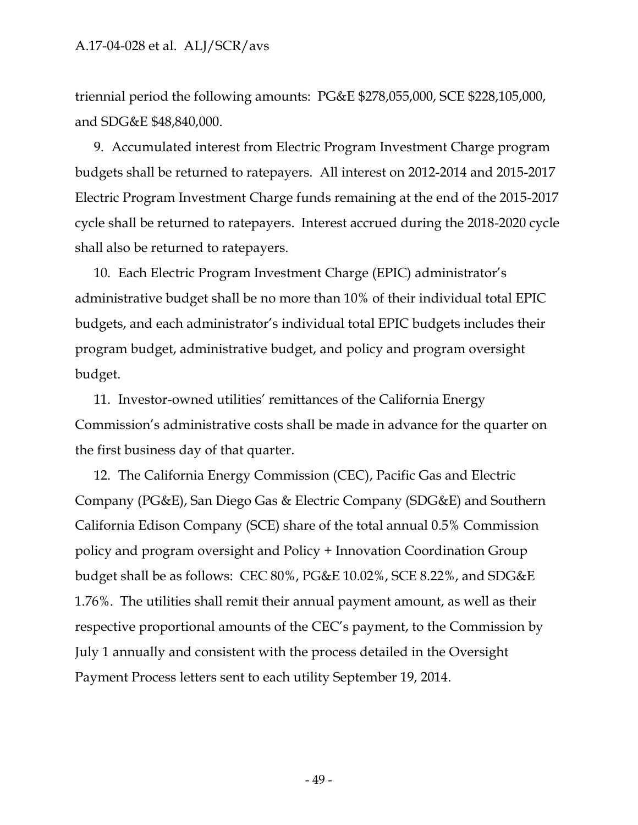triennial period the following amounts: PG&E \$278,055,000, SCE \$228,105,000, and SDG&E \$48,840,000.

9. Accumulated interest from Electric Program Investment Charge program budgets shall be returned to ratepayers. All interest on 2012-2014 and 2015-2017 Electric Program Investment Charge funds remaining at the end of the 2015-2017 cycle shall be returned to ratepayers. Interest accrued during the 2018-2020 cycle shall also be returned to ratepayers.

10. Each Electric Program Investment Charge (EPIC) administrator's administrative budget shall be no more than 10% of their individual total EPIC budgets, and each administrator's individual total EPIC budgets includes their program budget, administrative budget, and policy and program oversight budget.

11. Investor-owned utilities' remittances of the California Energy Commission's administrative costs shall be made in advance for the quarter on the first business day of that quarter.

12. The California Energy Commission (CEC), Pacific Gas and Electric Company (PG&E), San Diego Gas & Electric Company (SDG&E) and Southern California Edison Company (SCE) share of the total annual 0.5% Commission policy and program oversight and Policy + Innovation Coordination Group budget shall be as follows: CEC 80%, PG&E 10.02%, SCE 8.22%, and SDG&E 1.76%. The utilities shall remit their annual payment amount, as well as their respective proportional amounts of the CEC's payment, to the Commission by July 1 annually and consistent with the process detailed in the Oversight Payment Process letters sent to each utility September 19, 2014.

- 49 -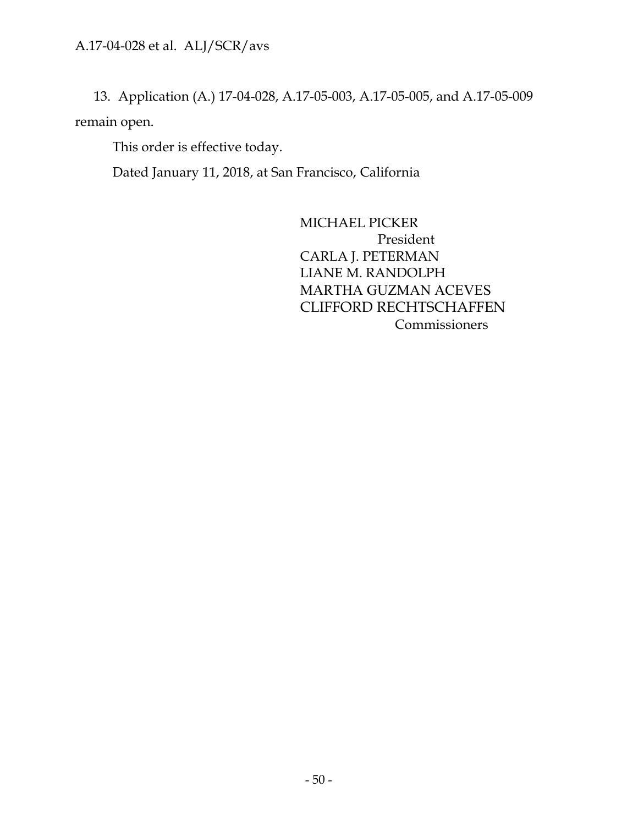13. Application (A.) 17-04-028, A.17-05-003, A.17-05-005, and A.17-05-009 remain open.

This order is effective today.

Dated January 11, 2018, at San Francisco, California

MICHAEL PICKER President CARLA J. PETERMAN LIANE M. RANDOLPH MARTHA GUZMAN ACEVES CLIFFORD RECHTSCHAFFEN Commissioners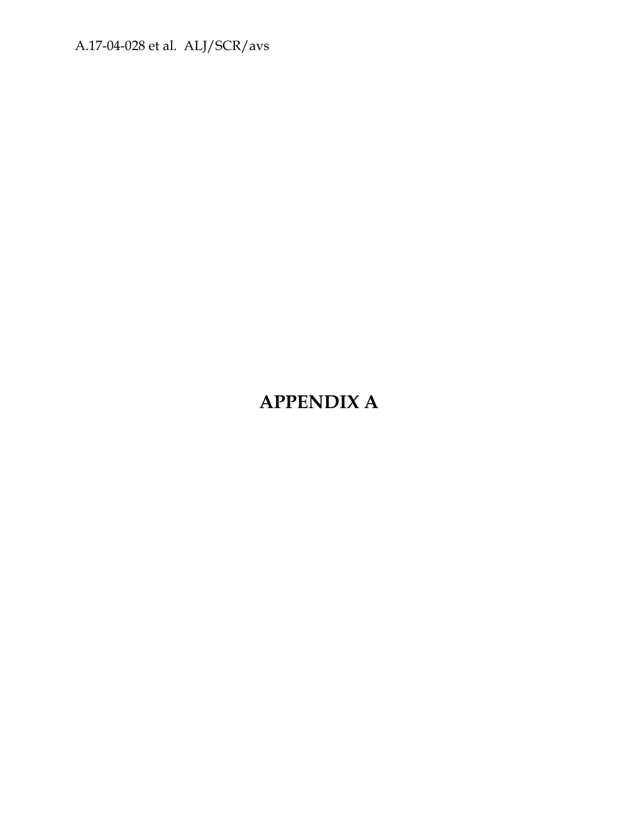# **APPENDIX A**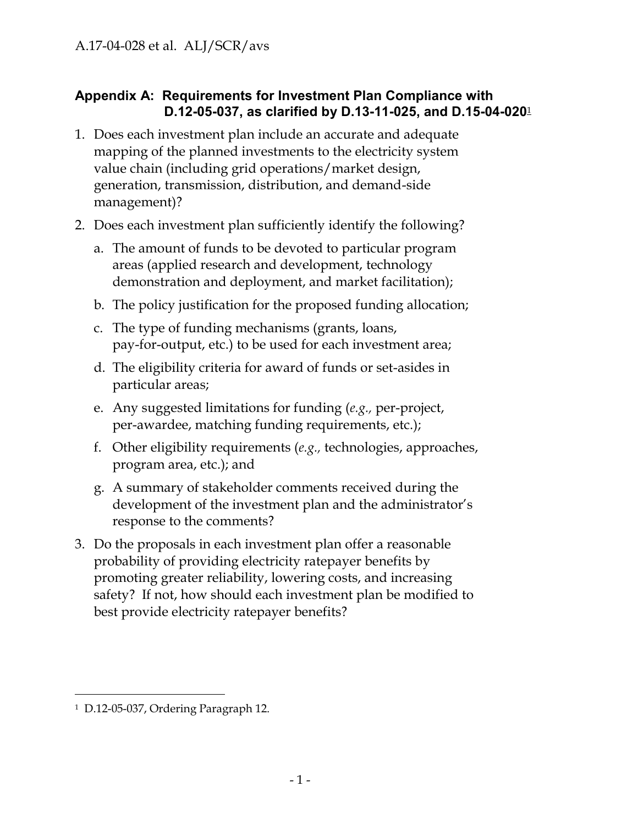### **Appendix A: Requirements for Investment Plan Compliance with D.12-05-037, as clarified by D.13-11-025, and D.15-04-020**<sup>1</sup>

- 1. Does each investment plan include an accurate and adequate mapping of the planned investments to the electricity system value chain (including grid operations/market design, generation, transmission, distribution, and demand-side management)?
- 2. Does each investment plan sufficiently identify the following?
	- a. The amount of funds to be devoted to particular program areas (applied research and development, technology demonstration and deployment, and market facilitation);
	- b. The policy justification for the proposed funding allocation;
	- c. The type of funding mechanisms (grants, loans, pay-for-output, etc.) to be used for each investment area;
	- d. The eligibility criteria for award of funds or set-asides in particular areas;
	- e. Any suggested limitations for funding (*e.g.,* per-project, per-awardee, matching funding requirements, etc.);
	- f. Other eligibility requirements (*e.g.,* technologies, approaches, program area, etc.); and
	- g. A summary of stakeholder comments received during the development of the investment plan and the administrator's response to the comments?
- 3. Do the proposals in each investment plan offer a reasonable probability of providing electricity ratepayer benefits by promoting greater reliability, lowering costs, and increasing safety? If not, how should each investment plan be modified to best provide electricity ratepayer benefits?

<sup>1</sup> D.12-05-037, Ordering Paragraph 12.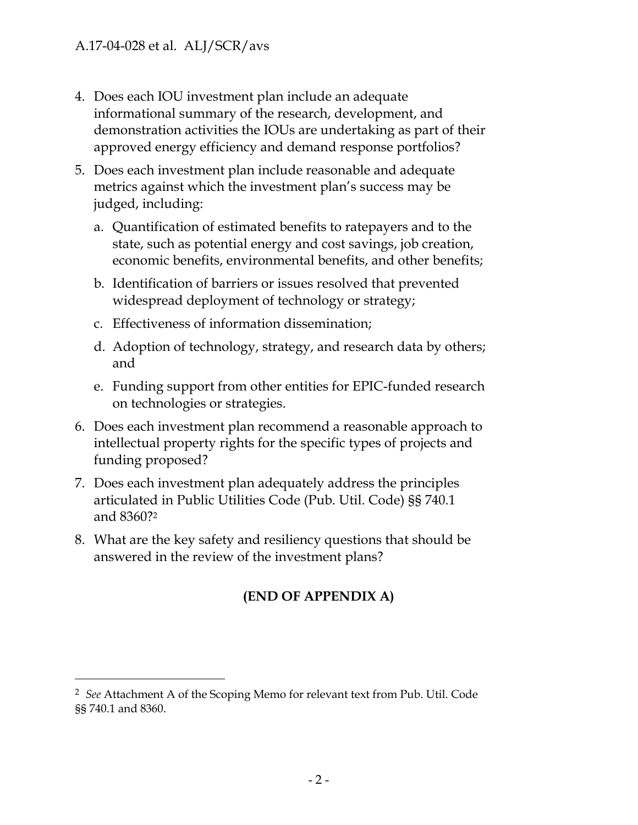- 4. Does each IOU investment plan include an adequate informational summary of the research, development, and demonstration activities the IOUs are undertaking as part of their approved energy efficiency and demand response portfolios?
- 5. Does each investment plan include reasonable and adequate metrics against which the investment plan's success may be judged, including:
	- a. Quantification of estimated benefits to ratepayers and to the state, such as potential energy and cost savings, job creation, economic benefits, environmental benefits, and other benefits;
	- b. Identification of barriers or issues resolved that prevented widespread deployment of technology or strategy;
	- c. Effectiveness of information dissemination;
	- d. Adoption of technology, strategy, and research data by others; and
	- e. Funding support from other entities for EPIC-funded research on technologies or strategies.
- 6. Does each investment plan recommend a reasonable approach to intellectual property rights for the specific types of projects and funding proposed?
- 7. Does each investment plan adequately address the principles articulated in Public Utilities Code (Pub. Util. Code) §§ 740.1 and 8360?<sup>2</sup>
- 8. What are the key safety and resiliency questions that should be answered in the review of the investment plans?

### **(END OF APPENDIX A)**

<sup>2</sup> *See* Attachment A of the Scoping Memo for relevant text from Pub. Util. Code §§ 740.1 and 8360.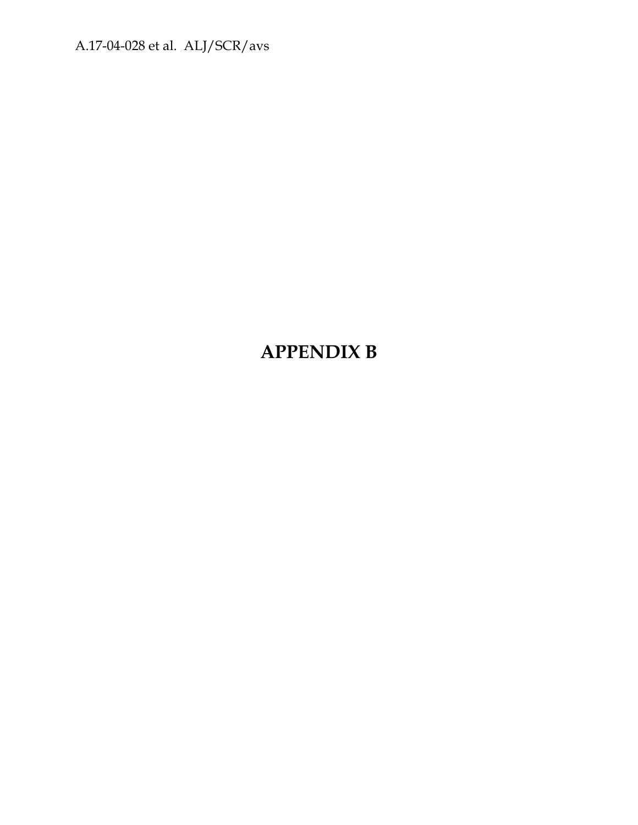# **APPENDIX B**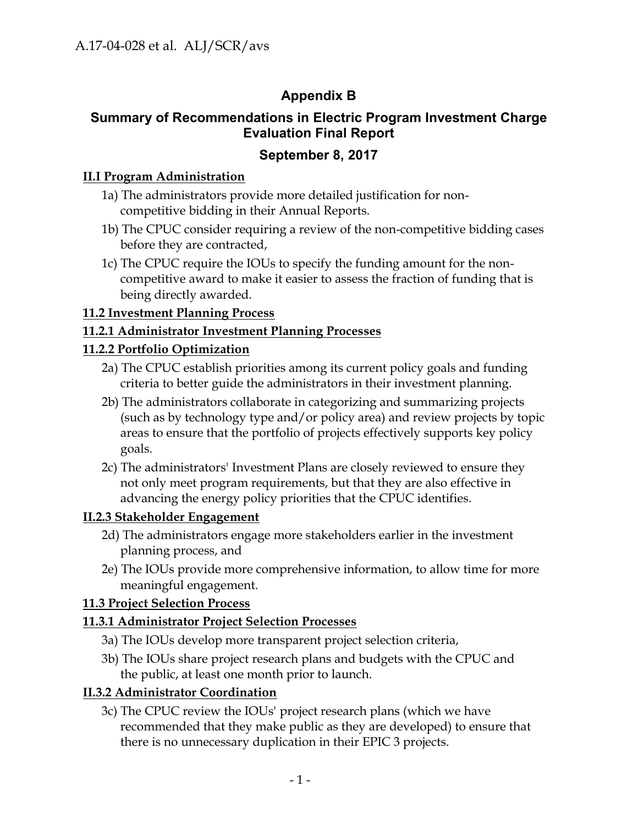### **Appendix B**

### **Summary of Recommendations in Electric Program Investment Charge Evaluation Final Report**

### **September 8, 2017**

### **II.I Program Administration**

- 1a) The administrators provide more detailed justification for noncompetitive bidding in their Annual Reports.
- 1b) The CPUC consider requiring a review of the non-competitive bidding cases before they are contracted,
- 1c) The CPUC require the IOUs to specify the funding amount for the noncompetitive award to make it easier to assess the fraction of funding that is being directly awarded.

### **11.2 Investment Planning Process**

### **11.2.1 Administrator Investment Planning Processes**

### **11.2.2 Portfolio Optimization**

- 2a) The CPUC establish priorities among its current policy goals and funding criteria to better guide the administrators in their investment planning.
- 2b) The administrators collaborate in categorizing and summarizing projects (such as by technology type and/or policy area) and review projects by topic areas to ensure that the portfolio of projects effectively supports key policy goals.
- 2c) The administrators' Investment Plans are closely reviewed to ensure they not only meet program requirements, but that they are also effective in advancing the energy policy priorities that the CPUC identifies.

### **II.2.3 Stakeholder Engagement**

- 2d) The administrators engage more stakeholders earlier in the investment planning process, and
- 2e) The IOUs provide more comprehensive information, to allow time for more meaningful engagement.

### **11.3 Project Selection Process**

### **11.3.1 Administrator Project Selection Processes**

- 3a) The IOUs develop more transparent project selection criteria,
- 3b) The IOUs share project research plans and budgets with the CPUC and the public, at least one month prior to launch.

### **II.3.2 Administrator Coordination**

3c) The CPUC review the IOUs' project research plans (which we have recommended that they make public as they are developed) to ensure that there is no unnecessary duplication in their EPIC 3 projects.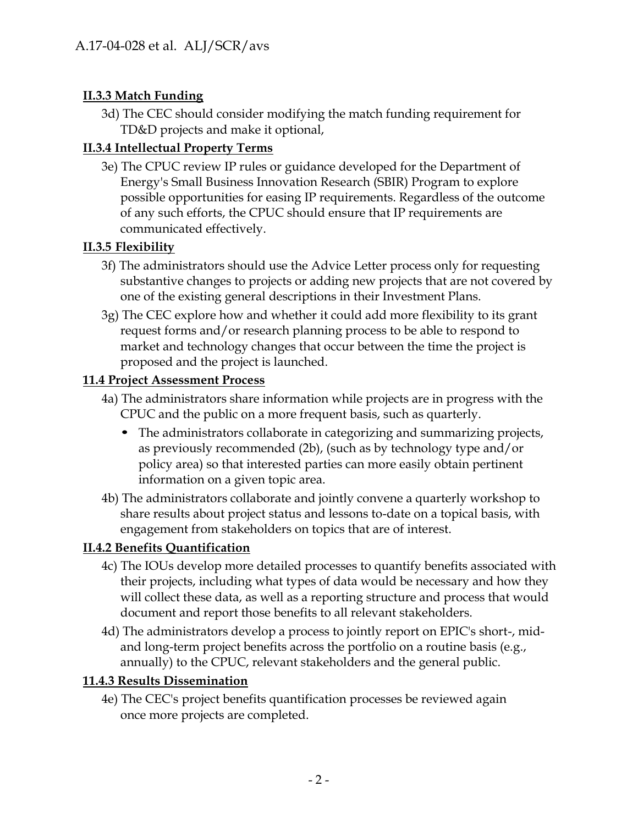### **II.3.3 Match Funding**

3d) The CEC should consider modifying the match funding requirement for TD&D projects and make it optional,

### **II.3.4 Intellectual Property Terms**

3e) The CPUC review IP rules or guidance developed for the Department of Energy's Small Business Innovation Research (SBIR) Program to explore possible opportunities for easing IP requirements. Regardless of the outcome of any such efforts, the CPUC should ensure that IP requirements are communicated effectively.

### **II.3.5 Flexibility**

- 3f) The administrators should use the Advice Letter process only for requesting substantive changes to projects or adding new projects that are not covered by one of the existing general descriptions in their Investment Plans.
- 3g) The CEC explore how and whether it could add more flexibility to its grant request forms and/or research planning process to be able to respond to market and technology changes that occur between the time the project is proposed and the project is launched.

### **11.4 Project Assessment Process**

- 4a) The administrators share information while projects are in progress with the CPUC and the public on a more frequent basis, such as quarterly.
	- The administrators collaborate in categorizing and summarizing projects, as previously recommended (2b), (such as by technology type and/or policy area) so that interested parties can more easily obtain pertinent information on a given topic area.
- 4b) The administrators collaborate and jointly convene a quarterly workshop to share results about project status and lessons to-date on a topical basis, with engagement from stakeholders on topics that are of interest.

### **II.4.2 Benefits Quantification**

- 4c) The IOUs develop more detailed processes to quantify benefits associated with their projects, including what types of data would be necessary and how they will collect these data, as well as a reporting structure and process that would document and report those benefits to all relevant stakeholders.
- 4d) The administrators develop a process to jointly report on EPIC's short-, midand long-term project benefits across the portfolio on a routine basis (e.g., annually) to the CPUC, relevant stakeholders and the general public.

### **11.4.3 Results Dissemination**

4e) The CEC's project benefits quantification processes be reviewed again once more projects are completed.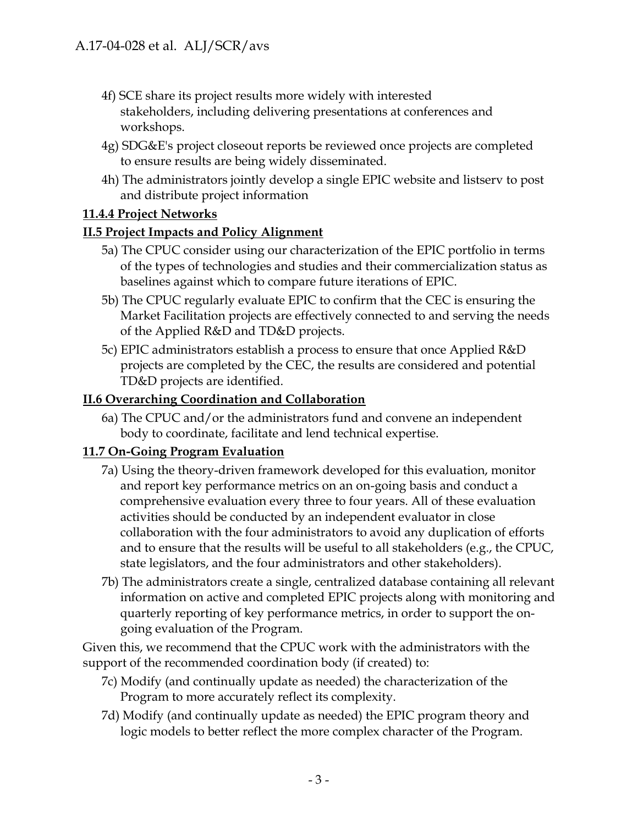- 4f) SCE share its project results more widely with interested stakeholders, including delivering presentations at conferences and workshops.
- 4g) SDG&E's project closeout reports be reviewed once projects are completed to ensure results are being widely disseminated.
- 4h) The administrators jointly develop a single EPIC website and listserv to post and distribute project information

### **11.4.4 Project Networks**

### **II.5 Project Impacts and Policy Alignment**

- 5a) The CPUC consider using our characterization of the EPIC portfolio in terms of the types of technologies and studies and their commercialization status as baselines against which to compare future iterations of EPIC.
- 5b) The CPUC regularly evaluate EPIC to confirm that the CEC is ensuring the Market Facilitation projects are effectively connected to and serving the needs of the Applied R&D and TD&D projects.
- 5c) EPIC administrators establish a process to ensure that once Applied R&D projects are completed by the CEC, the results are considered and potential TD&D projects are identified.

### **II.6 Overarching Coordination and Collaboration**

6a) The CPUC and/or the administrators fund and convene an independent body to coordinate, facilitate and lend technical expertise.

### **11.7 On-Going Program Evaluation**

- 7a) Using the theory-driven framework developed for this evaluation, monitor and report key performance metrics on an on-going basis and conduct a comprehensive evaluation every three to four years. All of these evaluation activities should be conducted by an independent evaluator in close collaboration with the four administrators to avoid any duplication of efforts and to ensure that the results will be useful to all stakeholders (e.g., the CPUC, state legislators, and the four administrators and other stakeholders).
- 7b) The administrators create a single, centralized database containing all relevant information on active and completed EPIC projects along with monitoring and quarterly reporting of key performance metrics, in order to support the ongoing evaluation of the Program.

Given this, we recommend that the CPUC work with the administrators with the support of the recommended coordination body (if created) to:

- 7c) Modify (and continually update as needed) the characterization of the Program to more accurately reflect its complexity.
- 7d) Modify (and continually update as needed) the EPIC program theory and logic models to better reflect the more complex character of the Program.